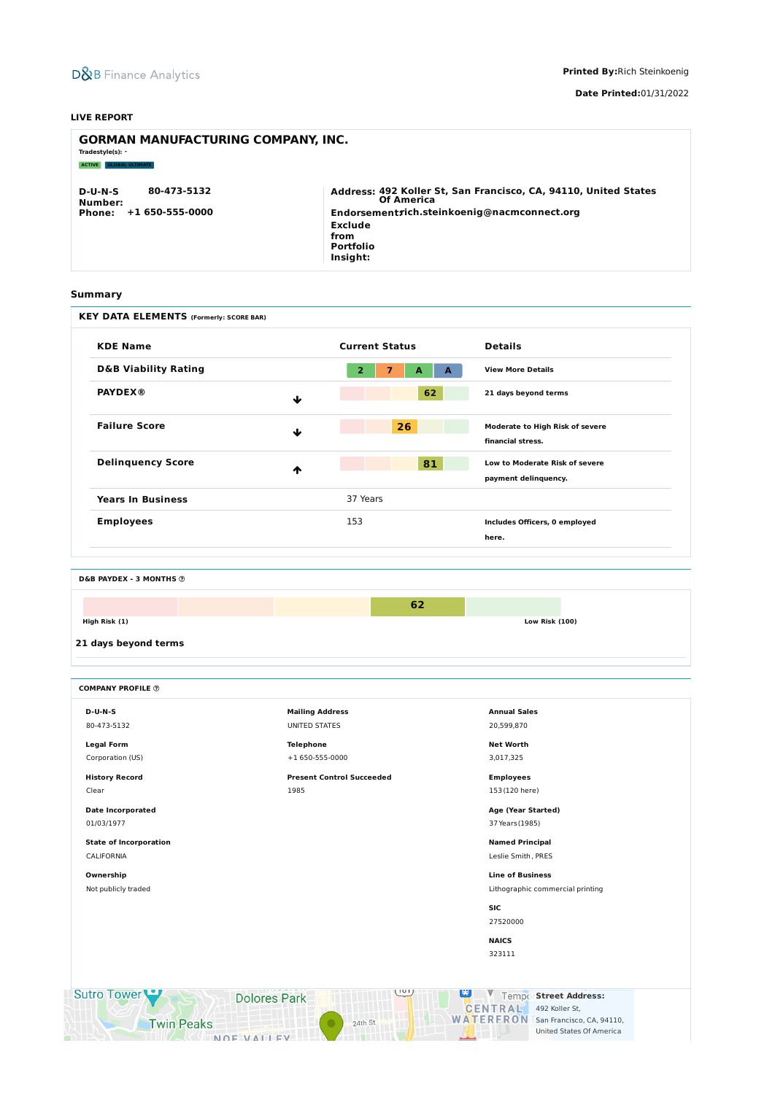## **Summary**



**Printed By:**Rich Steinkoenig

**Date Printed:**01/31/2022

#### **LIVE REPORT**

| <b>GORMAN MANUFACTURING COMPANY, INC.</b><br>Tradestyle(s): -                |                                                                                                                                                                                        |  |  |  |  |  |  |  |  |  |
|------------------------------------------------------------------------------|----------------------------------------------------------------------------------------------------------------------------------------------------------------------------------------|--|--|--|--|--|--|--|--|--|
| <b>GLOBAL ULTIMATE</b><br><b>ACTIVE</b>                                      |                                                                                                                                                                                        |  |  |  |  |  |  |  |  |  |
| 80-473-5132<br>$D-U-N-S$<br>Number:<br>$+1650 - 555 - 0000$<br><b>Phone:</b> | Address: 492 Koller St, San Francisco, CA, 94110, United States<br><b>Of America</b><br>Endorsementrich.steinkoenig@nacmconnect.org<br>Exclude<br>from<br><b>Portfolio</b><br>Insight: |  |  |  |  |  |  |  |  |  |

| <b>KEY DATA ELEMENTS (Formerly: SCORE BAR)</b>                              |                                                                |                                                             |  |  |  |
|-----------------------------------------------------------------------------|----------------------------------------------------------------|-------------------------------------------------------------|--|--|--|
| <b>KDE Name</b>                                                             | <b>Current Status</b>                                          | <b>Details</b>                                              |  |  |  |
| <b>D&amp;B Viability Rating</b>                                             | $\overline{2}$<br>$\overline{\mathbf{z}}$<br>A<br>$\mathbf{A}$ | <b>View More Details</b>                                    |  |  |  |
| <b>PAYDEX®</b>                                                              | 62<br>$\blacklozenge$                                          | 21 days beyond terms                                        |  |  |  |
| <b>Failure Score</b>                                                        | 26<br>$\blacklozenge$                                          | <b>Moderate to High Risk of severe</b><br>financial stress. |  |  |  |
| <b>Delinquency Score</b>                                                    | 81<br>ᠰ                                                        | Low to Moderate Risk of severe<br>payment delinquency.      |  |  |  |
| <b>Years In Business</b>                                                    | 37 Years                                                       |                                                             |  |  |  |
| <b>Employees</b>                                                            | 153                                                            | Includes Officers, 0 employed<br>here.                      |  |  |  |
| <b>D&amp;B PAYDEX - 3 MONTHS @</b><br>High Risk (1)<br>21 days beyond terms | 62                                                             | <b>Low Risk (100)</b>                                       |  |  |  |
| <b>COMPANY PROFILE ©</b>                                                    |                                                                |                                                             |  |  |  |
| $D-U-N-S$                                                                   | <b>Mailing Address</b>                                         | <b>Annual Sales</b>                                         |  |  |  |
| 80-473-5132                                                                 | <b>UNITED STATES</b>                                           | 20,599,870                                                  |  |  |  |
| <b>Legal Form</b>                                                           | <b>Telephone</b>                                               | <b>Net Worth</b>                                            |  |  |  |
| Corporation (US)                                                            | +1 650-555-0000                                                | 3,017,325                                                   |  |  |  |
| <b>History Record</b>                                                       | <b>Present Control Succeeded</b>                               | <b>Employees</b>                                            |  |  |  |
| Clear                                                                       | 1985                                                           | 153 (120 here)                                              |  |  |  |
| <b>Date Incorporated</b>                                                    |                                                                | Age (Year Started)                                          |  |  |  |
| 01/03/1977                                                                  |                                                                | 37 Years (1985)                                             |  |  |  |

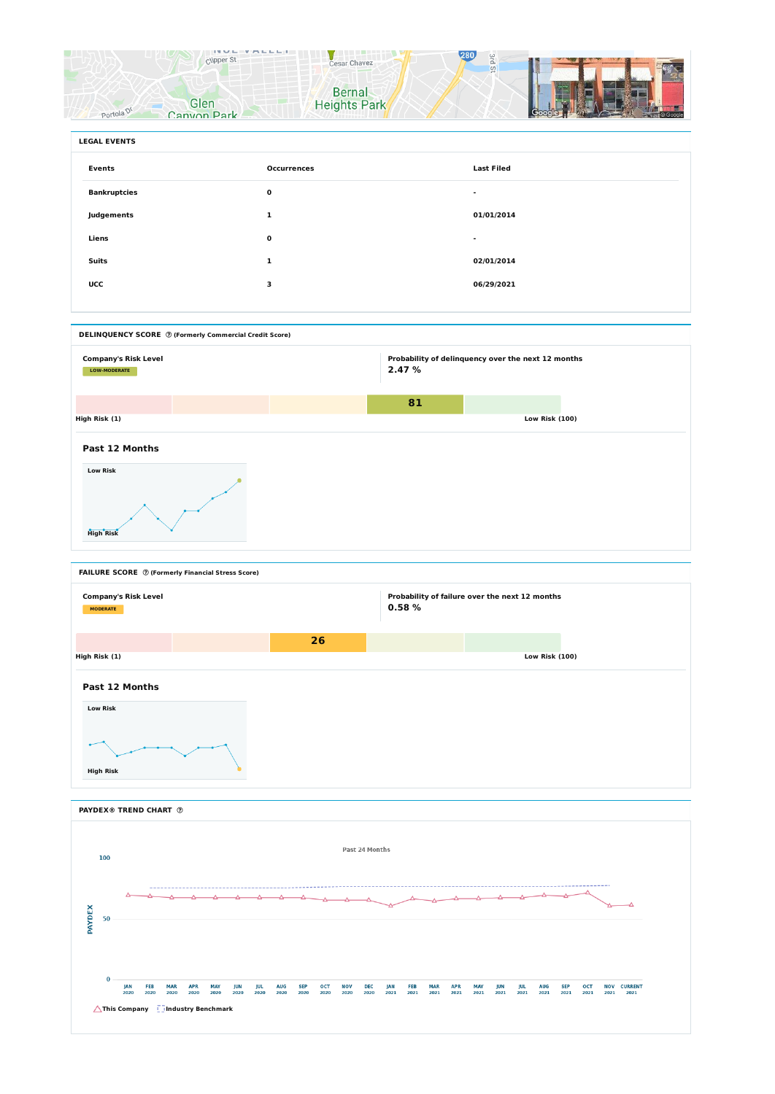



| <b>LEGAL EVENTS</b> |                    |                   |  |
|---------------------|--------------------|-------------------|--|
| <b>Events</b>       | <b>Occurrences</b> | <b>Last Filed</b> |  |
| <b>Bankruptcies</b> | $\mathbf 0$        | ж.                |  |
| Judgements          | 1                  | 01/01/2014        |  |
| Liens               | $\mathbf 0$        | $\sim$            |  |
| <b>Suits</b>        | 1                  | 02/01/2014        |  |
| <b>UCC</b>          | 3                  | 06/29/2021        |  |
|                     |                    |                   |  |

**DELINQUENCY SCORE (Formerly Commercial Credit Score) Company's Risk Level LOW-MODERATE Probability of delinquency over the next 12 months 2.47 % 81 High Risk (1) Low Risk (100) Past 12 Months Low Risk High Risk**



**PAYDEX® TREND CHART**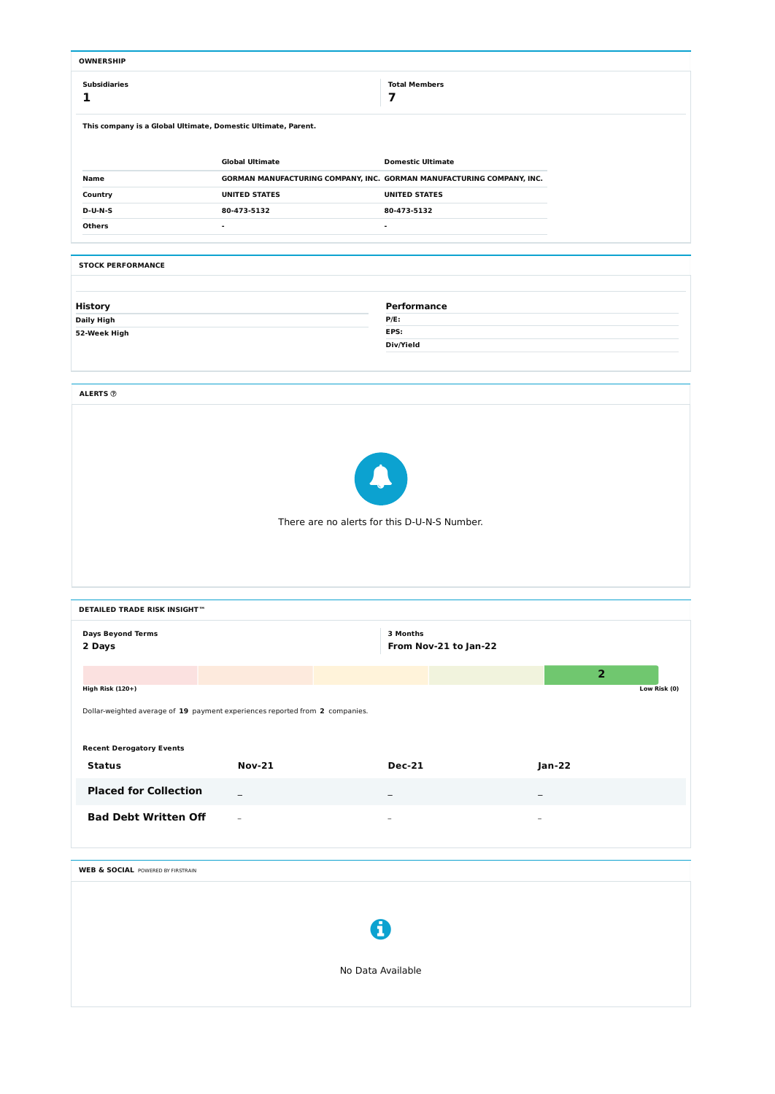| <b>OWNERSHIP</b>                                                             |                                                                       |  |                                              |                          |                |              |  |  |  |  |  |  |  |
|------------------------------------------------------------------------------|-----------------------------------------------------------------------|--|----------------------------------------------|--------------------------|----------------|--------------|--|--|--|--|--|--|--|
| <b>Subsidiaries</b>                                                          |                                                                       |  | <b>Total Members</b>                         |                          |                |              |  |  |  |  |  |  |  |
| 1                                                                            |                                                                       |  | $\overline{\mathbf{z}}$                      |                          |                |              |  |  |  |  |  |  |  |
|                                                                              |                                                                       |  |                                              |                          |                |              |  |  |  |  |  |  |  |
|                                                                              | This company is a Global Ultimate, Domestic Ultimate, Parent.         |  |                                              |                          |                |              |  |  |  |  |  |  |  |
|                                                                              |                                                                       |  |                                              |                          |                |              |  |  |  |  |  |  |  |
|                                                                              | <b>Global Ultimate</b>                                                |  |                                              |                          |                |              |  |  |  |  |  |  |  |
| Name                                                                         | GORMAN MANUFACTURING COMPANY, INC. GORMAN MANUFACTURING COMPANY, INC. |  |                                              |                          |                |              |  |  |  |  |  |  |  |
| Country                                                                      | <b>UNITED STATES</b>                                                  |  | <b>UNITED STATES</b>                         |                          |                |              |  |  |  |  |  |  |  |
| $D-U-N-S$                                                                    | 80-473-5132                                                           |  | 80-473-5132                                  |                          |                |              |  |  |  |  |  |  |  |
| <b>Others</b>                                                                | $\blacksquare$                                                        |  | $\blacksquare$                               |                          |                |              |  |  |  |  |  |  |  |
|                                                                              |                                                                       |  |                                              |                          |                |              |  |  |  |  |  |  |  |
| <b>STOCK PERFORMANCE</b>                                                     |                                                                       |  |                                              |                          |                |              |  |  |  |  |  |  |  |
|                                                                              |                                                                       |  |                                              |                          |                |              |  |  |  |  |  |  |  |
| <b>History</b>                                                               |                                                                       |  | <b>Performance</b>                           |                          |                |              |  |  |  |  |  |  |  |
| <b>Daily High</b>                                                            |                                                                       |  | $P/E$ :                                      |                          |                |              |  |  |  |  |  |  |  |
| 52-Week High                                                                 |                                                                       |  | EPS:                                         |                          |                |              |  |  |  |  |  |  |  |
|                                                                              |                                                                       |  | Div/Yield                                    |                          |                |              |  |  |  |  |  |  |  |
|                                                                              |                                                                       |  |                                              |                          |                |              |  |  |  |  |  |  |  |
|                                                                              |                                                                       |  |                                              |                          |                |              |  |  |  |  |  |  |  |
| <b>ALERTS ®</b>                                                              |                                                                       |  |                                              |                          |                |              |  |  |  |  |  |  |  |
|                                                                              |                                                                       |  |                                              |                          |                |              |  |  |  |  |  |  |  |
|                                                                              |                                                                       |  |                                              |                          |                |              |  |  |  |  |  |  |  |
|                                                                              |                                                                       |  |                                              |                          |                |              |  |  |  |  |  |  |  |
|                                                                              |                                                                       |  |                                              |                          |                |              |  |  |  |  |  |  |  |
|                                                                              |                                                                       |  |                                              |                          |                |              |  |  |  |  |  |  |  |
|                                                                              |                                                                       |  |                                              |                          |                |              |  |  |  |  |  |  |  |
|                                                                              |                                                                       |  |                                              |                          |                |              |  |  |  |  |  |  |  |
|                                                                              |                                                                       |  | There are no alerts for this D-U-N-S Number. |                          |                |              |  |  |  |  |  |  |  |
|                                                                              |                                                                       |  |                                              |                          |                |              |  |  |  |  |  |  |  |
|                                                                              |                                                                       |  |                                              |                          |                |              |  |  |  |  |  |  |  |
|                                                                              |                                                                       |  |                                              |                          |                |              |  |  |  |  |  |  |  |
|                                                                              |                                                                       |  |                                              |                          |                |              |  |  |  |  |  |  |  |
| <b>DETAILED TRADE RISK INSIGHT™</b>                                          |                                                                       |  |                                              |                          |                |              |  |  |  |  |  |  |  |
|                                                                              |                                                                       |  |                                              |                          |                |              |  |  |  |  |  |  |  |
| <b>Days Beyond Terms</b>                                                     |                                                                       |  | 3 Months                                     |                          |                |              |  |  |  |  |  |  |  |
| 2 Days                                                                       |                                                                       |  | From Nov-21 to Jan-22                        |                          |                |              |  |  |  |  |  |  |  |
|                                                                              |                                                                       |  |                                              |                          | $\overline{2}$ |              |  |  |  |  |  |  |  |
| <b>High Risk (120+)</b>                                                      |                                                                       |  |                                              |                          |                | Low Risk (0) |  |  |  |  |  |  |  |
|                                                                              |                                                                       |  |                                              |                          |                |              |  |  |  |  |  |  |  |
| Dollar-weighted average of 19 payment experiences reported from 2 companies. |                                                                       |  |                                              |                          |                |              |  |  |  |  |  |  |  |
|                                                                              |                                                                       |  |                                              |                          |                |              |  |  |  |  |  |  |  |
| <b>Recent Derogatory Events</b>                                              |                                                                       |  |                                              |                          |                |              |  |  |  |  |  |  |  |
| <b>Status</b>                                                                | <b>Nov-21</b>                                                         |  | <b>Dec-21</b>                                |                          | <b>Jan-22</b>  |              |  |  |  |  |  |  |  |
| <b>Placed for Collection</b>                                                 |                                                                       |  |                                              |                          |                |              |  |  |  |  |  |  |  |
|                                                                              | $\overline{\phantom{m}}$                                              |  |                                              |                          |                |              |  |  |  |  |  |  |  |
| <b>Bad Debt Written Off</b>                                                  | $\equiv$                                                              |  |                                              | $\overline{\phantom{0}}$ |                |              |  |  |  |  |  |  |  |
|                                                                              |                                                                       |  |                                              |                          |                |              |  |  |  |  |  |  |  |

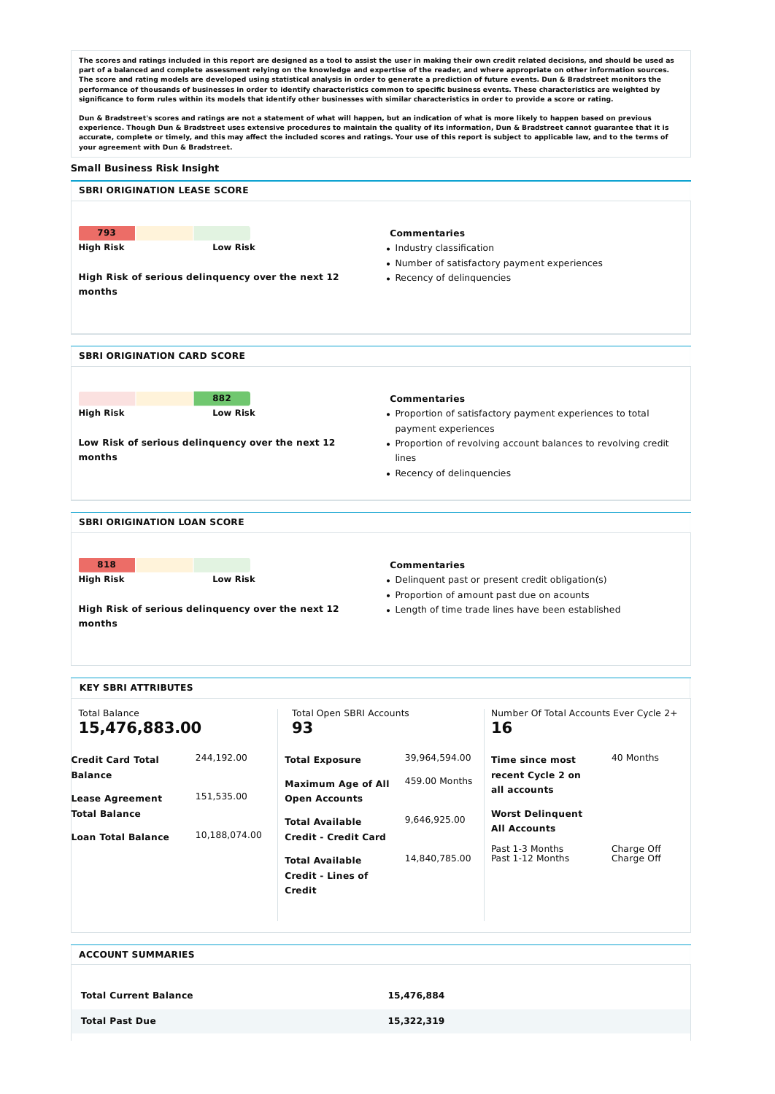The scores and ratings included in this report are designed as a tool to assist the user in making their own credit related decisions, and should be used as part of a balanced and complete assessment relying on the knowledge and expertise of the reader, and where appropriate on other information sources. The score and rating models are developed using statistical analysis in order to generate a prediction of future events. Dun & Bradstreet monitors the performance of thousands of businesses in order to identify characteristics common to specific business events. These characteristics are weighted by significance to form rules within its models that identify other businesses with similar characteristics in order to provide a score or rating.

Dun & Bradstreet's scores and ratings are not a statement of what will happen, but an indication of what is more likely to happen based on previous experience. Though Dun & Bradstreet uses extensive procedures to maintain the quality of its information, Dun & Bradstreet cannot guarantee that it is accurate, complete or timely, and this may affect the included scores and ratings. Your use of this report is subject to applicable law, and to the terms of **your agreement with Dun & Bradstreet.**

#### **Small Business Risk Insight**

| <b>SBRI ORIGINATION LEASE SCORE</b> |                                                   |                                                                |
|-------------------------------------|---------------------------------------------------|----------------------------------------------------------------|
|                                     |                                                   |                                                                |
| 793                                 |                                                   | <b>Commentaries</b>                                            |
| <b>High Risk</b>                    | <b>Low Risk</b>                                   | • Industry classification                                      |
|                                     |                                                   | • Number of satisfactory payment experiences                   |
| months                              | High Risk of serious delinquency over the next 12 | • Recency of delinquencies                                     |
|                                     |                                                   |                                                                |
|                                     |                                                   |                                                                |
|                                     |                                                   |                                                                |
| <b>SBRI ORIGINATION CARD SCORE</b>  |                                                   |                                                                |
|                                     |                                                   |                                                                |
|                                     | 882                                               | <b>Commentaries</b>                                            |
| <b>High Risk</b>                    | <b>Low Risk</b>                                   | • Proportion of satisfactory payment experiences to total      |
|                                     |                                                   | payment experiences                                            |
|                                     | Low Risk of serious delinquency over the next 12  | • Proportion of revolving account balances to revolving credit |
| months                              |                                                   | lines                                                          |
|                                     |                                                   | • Recency of delinquencies                                     |
|                                     |                                                   |                                                                |

#### **SBRI ORIGINATION LOAN SCORE**

**High Risk of serious delinquency over the next 12**

| 818       |                 |
|-----------|-----------------|
| High Risk | <b>Low Risk</b> |
|           |                 |

**months**

#### **Commentaries**

- Delinquent past or present credit obligation(s)
- Proportion of amount past due on acounts
- Length of time trade lines have been established

| <b>KEY SBRI ATTRIBUTES</b>               |               |                                                                                             |               |                                                |                          |  |  |  |
|------------------------------------------|---------------|---------------------------------------------------------------------------------------------|---------------|------------------------------------------------|--------------------------|--|--|--|
| <b>Total Balance</b><br>15,476,883.00    |               | <b>Total Open SBRI Accounts</b><br>93                                                       |               | Number Of Total Accounts Ever Cycle 2+<br>16   |                          |  |  |  |
| <b>Credit Card Total</b>                 | 244,192.00    | <b>Total Exposure</b>                                                                       | 39,964,594.00 | Time since most                                | 40 Months                |  |  |  |
| <b>Balance</b><br><b>Lease Agreement</b> | 151,535.00    | <b>Maximum Age of All</b><br><b>Open Accounts</b>                                           | 459.00 Months | recent Cycle 2 on<br>all accounts              |                          |  |  |  |
| <b>Total Balance</b>                     |               | <b>Total Available</b>                                                                      | 9,646,925.00  | <b>Worst Delinquent</b><br><b>All Accounts</b> |                          |  |  |  |
| <b>Loan Total Balance</b>                | 10,188,074.00 | <b>Credit - Credit Card</b><br><b>Total Available</b><br><b>Credit - Lines of</b><br>Credit | 14,840,785.00 | Past 1-3 Months<br>Past 1-12 Months            | Charge Off<br>Charge Off |  |  |  |
|                                          |               |                                                                                             |               |                                                |                          |  |  |  |

| <b>ACCOUNT SUMMARIES</b>     |            |
|------------------------------|------------|
|                              |            |
| <b>Total Current Balance</b> | 15,476,884 |
| <b>Total Past Due</b>        | 15,322,319 |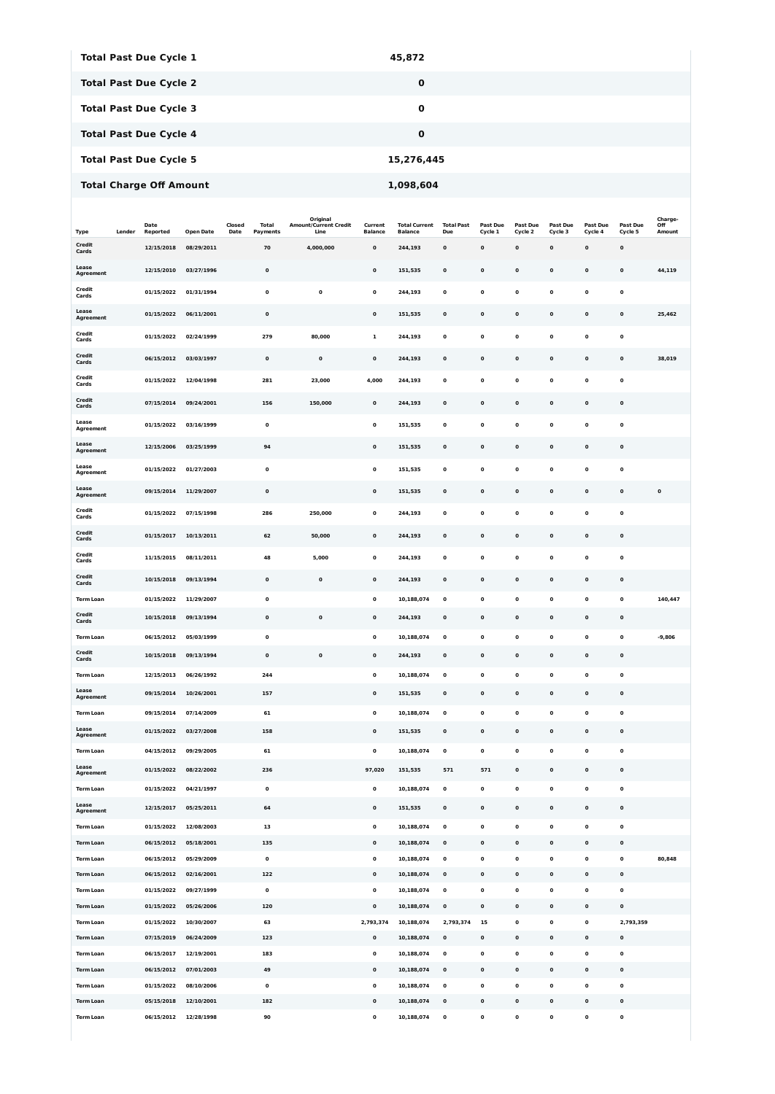| Type                   | Lender | Date<br>Reported | <b>Open Date</b> | Closed<br>Date | <b>Total</b><br>Payments | Original<br><b>Amount/Current Credit</b><br>Line | Current<br><b>Balance</b> | <b>Total Current</b><br><b>Balance</b> | <b>Total Past</b><br>Due | Past Due<br>Cycle 1 | <b>Past Due</b><br>Cycle 2 | <b>Past Due</b><br>Cycle 3 | Past Due<br>Cycle 4 | <b>Past Due</b><br>Cycle 5 | Charge-<br>Off<br>Amount |
|------------------------|--------|------------------|------------------|----------------|--------------------------|--------------------------------------------------|---------------------------|----------------------------------------|--------------------------|---------------------|----------------------------|----------------------------|---------------------|----------------------------|--------------------------|
| <b>Credit</b><br>Cards |        | 12/15/2018       | 08/29/2011       |                | 70                       | 4,000,000                                        | $\mathbf 0$               | 244,193                                | $\mathbf 0$              | 0                   | $\mathbf 0$                | $\mathbf 0$                | $\mathbf 0$         | $\mathbf 0$                |                          |
| Lease<br>Agreement     |        | 12/15/2010       | 03/27/1996       |                | $\pmb{0}$                |                                                  | 0                         | 151,535                                | $\mathbf 0$              | $\mathbf 0$         | $\mathbf 0$                | $\mathbf 0$                | $\mathbf 0$         | $\mathbf 0$                | 44,119                   |
| <b>Credit</b><br>Cards |        | 01/15/2022       | 01/31/1994       |                | $\pmb{0}$                | $\mathbf 0$                                      | $\mathbf 0$               | 244,193                                | $\mathbf 0$              | 0                   | $\mathbf 0$                | $\mathbf 0$                | $\mathbf 0$         | $\mathbf 0$                |                          |
| Lease<br>Agreement     |        | 01/15/2022       | 06/11/2001       |                | $\pmb{0}$                |                                                  | $\mathbf 0$               | 151,535                                | $\mathbf 0$              | $\mathbf 0$         | $\mathbf 0$                | $\mathbf 0$                | $\mathbf 0$         | $\mathbf 0$                | 25,462                   |
| <b>Credit</b><br>Cards |        | 01/15/2022       | 02/24/1999       |                | 279                      | 80,000                                           | $\mathbf{1}$              | 244,193                                | $\mathbf 0$              | 0                   | $\mathbf 0$                | $\mathbf 0$                | $\mathbf 0$         | $\mathbf 0$                |                          |
| <b>Credit</b><br>Cards |        | 06/15/2012       | 03/03/1997       |                | $\pmb{0}$                | $\mathbf 0$                                      | $\mathbf 0$               | 244,193                                | $\mathbf 0$              | $\mathbf 0$         | $\mathbf 0$                | $\mathbf 0$                | $\mathbf 0$         | $\mathbf 0$                | 38,019                   |
| <b>Credit</b><br>Cards |        | 01/15/2022       | 12/04/1998       |                | 281                      | 23,000                                           | 4,000                     | 244,193                                | $\mathbf 0$              | 0                   | $\mathbf 0$                | $\mathbf 0$                | $\mathbf 0$         | $\mathbf 0$                |                          |
| <b>Credit</b>          |        | 07/15/2014       | 09/24/2001       |                | 156                      | 150,000                                          | 0                         | 244,193                                | 0                        | 0                   | $\mathbf 0$                | $\mathbf 0$                | $\mathbf 0$         | $\mathbf 0$                |                          |
| Cards<br>Lease         |        | 01/15/2022       | 03/16/1999       |                | 0                        |                                                  | 0                         | 151,535                                | $\mathbf 0$              | 0                   | $\mathbf 0$                | $\mathbf 0$                | $\mathbf 0$         | $\mathbf 0$                |                          |
| Agreement<br>Lease     |        |                  |                  |                |                          |                                                  |                           |                                        |                          |                     |                            |                            | $\mathbf 0$         |                            |                          |
| Agreement<br>Lease     |        | 12/15/2006       | 03/25/1999       |                | 94                       |                                                  | 0                         | 151,535                                | 0                        | 0                   | $\mathbf 0$                | $\mathbf 0$                |                     | $\mathbf 0$                |                          |
| Agreement              |        | 01/15/2022       | 01/27/2003       |                | $\pmb{0}$                |                                                  | 0                         | 151,535                                | $\mathbf 0$              | 0                   | $\mathbf 0$                | $\mathbf 0$                | $\mathbf 0$         | $\mathbf 0$                |                          |
| Lease<br>Agreement     |        | 09/15/2014       | 11/29/2007       |                | 0                        |                                                  | $\mathbf 0$               | 151,535                                | 0                        | 0                   | $\mathbf 0$                | 0                          | $\mathbf 0$         | $\mathbf 0$                | 0                        |
| <b>Credit</b><br>Cards |        | 01/15/2022       | 07/15/1998       |                | 286                      | 250,000                                          | 0                         | 244,193                                | $\mathbf 0$              | $\mathbf 0$         | $\mathbf 0$                | $\mathbf 0$                | $\mathbf 0$         | $\mathbf 0$                |                          |
| Credit<br>Cards        |        | 01/15/2017       | 10/13/2011       |                | 62                       | 50,000                                           | 0                         | 244,193                                | $\mathbf 0$              | 0                   | $\mathbf 0$                | 0                          | $\mathbf 0$         | $\mathbf 0$                |                          |
| <b>Credit</b><br>Cards |        | 11/15/2015       | 08/11/2011       |                | 48                       | 5,000                                            | 0                         | 244,193                                | $\mathbf 0$              | 0                   | 0                          | $\mathbf 0$                | 0                   | $\mathbf 0$                |                          |
| Credit<br>Cards        |        | 10/15/2018       | 09/13/1994       |                | 0                        | $\mathbf 0$                                      | 0                         | 244,193                                | 0                        | 0                   | $\mathbf 0$                | 0                          | $\mathbf 0$         | $\mathbf 0$                |                          |
| <b>Term Loan</b>       |        | 01/15/2022       | 11/29/2007       |                | 0                        |                                                  | $\mathbf 0$               | 10,188,074                             | $\mathbf 0$              | 0                   | $\mathbf 0$                | $\mathbf 0$                | $\mathbf 0$         | $\mathbf 0$                | 140,447                  |
| <b>Credit</b><br>Cards |        | 10/15/2018       | 09/13/1994       |                | $\mathbf 0$              | $\mathbf 0$                                      | $\mathbf 0$               | 244,193                                | $\mathbf 0$              | 0                   | $\pmb{0}$                  | $\mathbf 0$                | $\mathbf 0$         | $\mathbf 0$                |                          |
| <b>Term Loan</b>       |        | 06/15/2012       | 05/03/1999       |                | $\pmb{0}$                |                                                  | $\mathbf 0$               | 10,188,074                             | $\mathbf 0$              | 0                   | $\mathbf 0$                | $\mathbf 0$                | 0                   | $\mathbf 0$                | $-9,806$                 |
| <b>Credit</b><br>Cards |        | 10/15/2018       | 09/13/1994       |                | $\mathbf 0$              | $\mathbf 0$                                      | $\mathbf{0}$              | 244,193                                | $\mathbf 0$              | $\mathbf 0$         | $\mathbf 0$                | $\mathbf 0$                | $\mathbf 0$         | $\mathbf 0$                |                          |
| <b>Term Loan</b>       |        | 12/15/2013       | 06/26/1992       |                | 244                      |                                                  | $\mathbf 0$               | 10,188,074                             | $\pmb{0}$                | $\mathbf 0$         | $\mathbf 0$                | $\mathbf 0$                | 0                   | $\mathbf 0$                |                          |
| Lease<br>Agreement     |        | 09/15/2014       | 10/26/2001       |                | 157                      |                                                  | $\mathbf 0$               | 151,535                                | $\pmb{0}$                | $\mathbf 0$         | $\mathbf 0$                | $\mathbf 0$                | $\mathbf 0$         | $\pmb{0}$                  |                          |
| <b>Term Loan</b>       |        | 09/15/2014       | 07/14/2009       |                | 61                       |                                                  | $\mathbf 0$               | 10,188,074                             | $\pmb{0}$                | $\mathbf 0$         | $\mathbf 0$                | $\mathbf 0$                | $\mathbf 0$         | $\mathbf 0$                |                          |
| Lease<br>Agreement     |        | 01/15/2022       | 03/27/2008       |                | 158                      |                                                  | $\mathbf 0$               | 151,535                                | $\mathbf 0$              | $\mathbf 0$         | $\mathbf 0$                | $\mathbf 0$                | $\mathbf 0$         | $\pmb{0}$                  |                          |
| <b>Term Loan</b>       |        | 04/15/2012       | 09/29/2005       |                | 61                       |                                                  | 0                         | 10,188,074                             | $\mathbf 0$              | 0                   | 0                          | $\mathbf 0$                | 0                   | $\mathbf 0$                |                          |
| Lease<br>Agreement     |        | 01/15/2022       | 08/22/2002       |                | 236                      |                                                  | 97,020                    | 151,535                                | 571                      | 571                 | $\mathbf 0$                | $\mathbf 0$                | $\mathbf 0$         | $\pmb{0}$                  |                          |
| <b>Term Loan</b>       |        | 01/15/2022       | 04/21/1997       |                | $\pmb{0}$                |                                                  | $\mathbf 0$               | 10,188,074                             | $\mathbf 0$              | $\mathbf 0$         | $\mathbf 0$                | $\mathbf 0$                | $\mathbf 0$         | $\mathbf 0$                |                          |
| Lease<br>Agreement     |        | 12/15/2017       | 05/25/2011       |                | 64                       |                                                  | $\mathbf 0$               | 151,535                                | $\pmb{0}$                | $\mathbf 0$         | $\mathbf 0$                | $\mathbf 0$                | $\mathbf 0$         | $\pmb{0}$                  |                          |
| <b>Term Loan</b>       |        | 01/15/2022       | 12/08/2003       |                | 13                       |                                                  | $\mathbf 0$               | 10,188,074                             | $\pmb{0}$                | 0                   | $\mathbf 0$                | $\mathbf 0$                | 0                   | $\mathbf 0$                |                          |
| <b>Term Loan</b>       |        | 06/15/2012       | 05/18/2001       |                | 135                      |                                                  | $\mathbf{o}$              | 10,188,074                             | $\bf{0}$                 | $\mathbf 0$         | $\mathbf 0$                | $\mathbf 0$                | $\mathbf 0$         | $\pmb{0}$                  |                          |
| <b>Term Loan</b>       |        | 06/15/2012       | 05/29/2009       |                | $\pmb{0}$                |                                                  | $\mathbf 0$               | 10,188,074                             | $\mathbf 0$              | $\mathbf 0$         | $\mathbf 0$                | $\mathbf 0$                | 0                   | $\mathbf 0$                | 80,848                   |
| <b>Term Loan</b>       |        | 06/15/2012       | 02/16/2001       |                | 122                      |                                                  | $\mathbf 0$               | 10,188,074                             | $\pmb{0}$                | 0                   | $\mathbf 0$                | $\mathbf 0$                | $\mathbf 0$         | $\mathbf 0$                |                          |
| <b>Term Loan</b>       |        | 01/15/2022       | 09/27/1999       |                | $\pmb{0}$                |                                                  | $\mathbf 0$               | 10,188,074                             | $\pmb{0}$                | $\mathbf 0$         | $\mathbf 0$                | $\mathbf 0$                | 0                   | $\mathbf 0$                |                          |
| <b>Term Loan</b>       |        | 01/15/2022       | 05/26/2006       |                | 120                      |                                                  | $\mathbf 0$               | 10,188,074                             | $\pmb{0}$                | 0                   | $\mathbf 0$                | $\mathbf 0$                | $\mathbf 0$         | $\pmb{0}$                  |                          |
| <b>Term Loan</b>       |        | 01/15/2022       | 10/30/2007       |                | 63                       |                                                  | 2,793,374                 | 10,188,074                             | 2,793,374                | 15                  | $\mathbf 0$                | $\mathbf 0$                | 0                   | 2,793,359                  |                          |
| <b>Term Loan</b>       |        | 07/15/2019       | 06/24/2009       |                | 123                      |                                                  | $\mathbf 0$               | 10,188,074                             | $\pmb{0}$                | 0                   | $\mathbf 0$                | 0                          | 0                   | $\pmb{0}$                  |                          |
| <b>Term Loan</b>       |        | 06/15/2017       | 12/19/2001       |                | 183                      |                                                  | $\mathbf 0$               | 10,188,074                             | $\pmb{0}$                | 0                   | $\mathbf 0$                | $\mathbf 0$                | 0                   | $\mathbf 0$                |                          |
| <b>Term Loan</b>       |        | 06/15/2012       | 07/01/2003       |                | 49                       |                                                  | $\mathbf{o}$              | 10,188,074                             | $\pmb{0}$                | $\mathbf 0$         | $\mathbf 0$                | $\mathbf 0$                | $\mathbf 0$         | $\mathbf 0$                |                          |
| <b>Term Loan</b>       |        | 01/15/2022       | 08/10/2006       |                | $\pmb{0}$                |                                                  | $\mathbf 0$               | 10,188,074                             | $\pmb{0}$                | $\pmb{0}$           | $\mathbf 0$                | $\mathbf 0$                | 0                   | $\mathbf 0$                |                          |
| <b>Term Loan</b>       |        | 05/15/2018       | 12/10/2001       |                | 182                      |                                                  | $\mathbf{o}$              | 10,188,074                             | $\bf{0}$                 | 0                   | $\mathbf{o}$               | 0                          | $\mathbf 0$         | $\mathbf 0$                |                          |
| <b>Term Loan</b>       |        | 06/15/2012       | 12/28/1998       |                | 90                       |                                                  | $\mathbf 0$               | 10,188,074                             | $\pmb{0}$                | 0                   | $\mathbf 0$                | 0                          | $\mathbf 0$         | $\mathbf 0$                |                          |

| <b>Total Past Due Cycle 1</b>  | 45,872      |
|--------------------------------|-------------|
| <b>Total Past Due Cycle 2</b>  | $\mathbf 0$ |
| <b>Total Past Due Cycle 3</b>  | $\mathbf 0$ |
| <b>Total Past Due Cycle 4</b>  | $\mathbf 0$ |
| <b>Total Past Due Cycle 5</b>  | 15,276,445  |
| <b>Total Charge Off Amount</b> | 1,098,604   |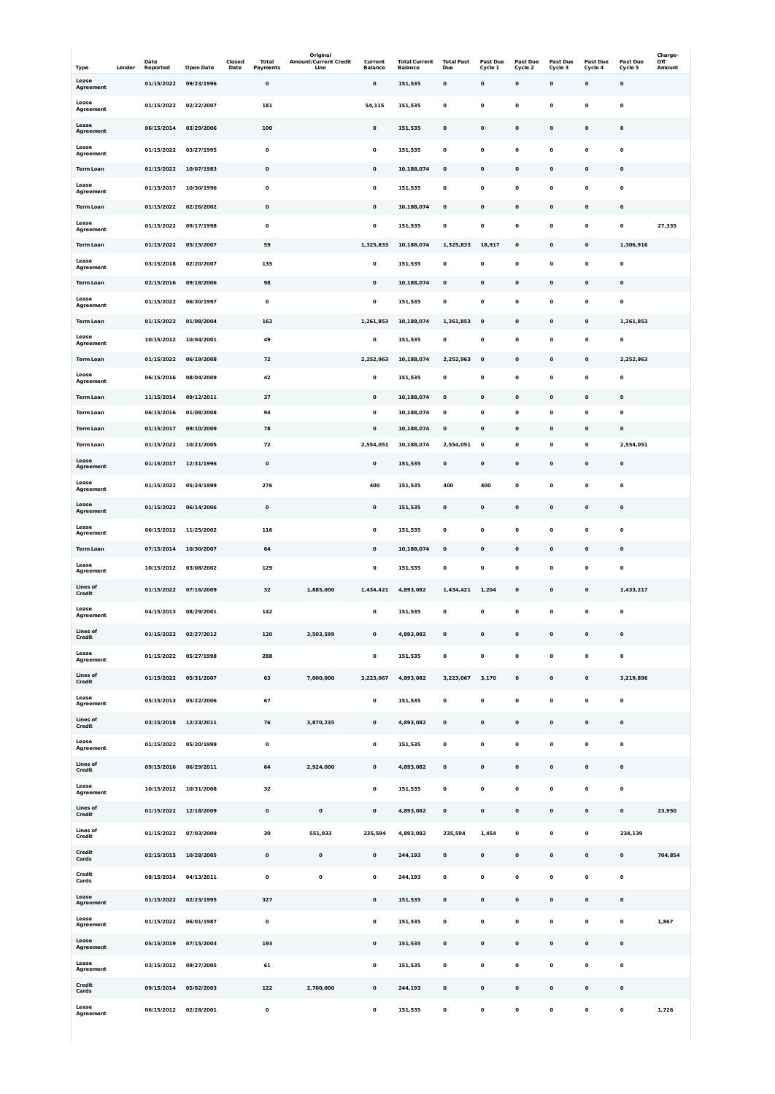|                                     |        | Date                     |                                | Closed | Total                 | Original<br><b>Amount/Current Credit</b> | Current                     | <b>Total Current</b>      | <b>Total Past</b>        | Past Due                   | <b>Past Due</b> | <b>Past Due</b> | Past Due                | <b>Past Due</b>        | Charge-<br>Off |
|-------------------------------------|--------|--------------------------|--------------------------------|--------|-----------------------|------------------------------------------|-----------------------------|---------------------------|--------------------------|----------------------------|-----------------|-----------------|-------------------------|------------------------|----------------|
| <b>Type</b><br>Lease                | Lender | Reported<br>01/15/2022   | <b>Open Date</b><br>09/23/1996 | Date   | Payments<br>$\pmb{0}$ | Line                                     | <b>Balance</b><br>$\pmb{0}$ | <b>Balance</b><br>151,535 | Due<br>$\mathbf 0$       | Cycle 1<br>$\mathbf 0$     | Cycle 2<br>0    | Cycle 3<br>0    | Cycle 4<br>$\pmb{0}$    | Cycle 5<br>$\mathbf 0$ | Amount         |
| Agreement<br>Lease                  |        |                          | 02/22/2007                     |        | 181                   |                                          |                             |                           | $\mathbf 0$              | $\mathbf 0$                | 0               | 0               | $\mathbf 0$             |                        |                |
| Agreement<br>Lease                  |        | 01/15/2022               |                                |        |                       |                                          | 54,115                      | 151,535                   |                          |                            |                 |                 |                         | $\mathbf 0$            |                |
| Agreement                           |        | 06/15/2014               | 03/29/2006                     |        | 100                   |                                          | $\mathbf 0$                 | 151,535                   | $\pmb{0}$                | $\mathbf 0$                | $\mathbf 0$     | 0               | $\pmb{0}$               | $\mathbf 0$            |                |
| Lease<br>Agreement                  |        | 01/15/2022               | 03/27/1995                     |        | $\mathbf 0$           |                                          | $\pmb{0}$                   | 151,535                   | $\mathbf 0$              | $\mathbf 0$                | 0               | 0               | $\mathbf 0$             | $\mathbf 0$            |                |
| <b>Term Loan</b>                    |        | 01/15/2022               | 10/07/1983                     |        | $\mathbf 0$           |                                          | $\pmb{0}$                   | 10,188,074                | $\mathbf 0$              | $\mathbf 0$                | $\mathbf 0$     | 0               | $\pmb{0}$               | $\mathbf 0$            |                |
| Lease<br>Agreement                  |        | 01/15/2017               | 10/30/1996                     |        | $\mathbf 0$           |                                          | $\mathbf 0$                 | 151,535                   | $\mathbf 0$              | $\mathbf 0$                | 0               | 0               | $\mathbf 0$             | $\mathbf 0$            |                |
| <b>Term Loan</b>                    |        | 01/15/2022               | 02/26/2002                     |        | $\mathbf 0$           |                                          | $\mathbf 0$                 | 10,188,074                | $\mathbf 0$              | $\mathbf 0$                | 0               | 0               | $\pmb{0}$               | $\pmb{0}$              |                |
| Lease<br><b>Agreement</b>           |        | 01/15/2022               | 09/17/1998                     |        | 0                     |                                          | $\pmb{0}$                   | 151,535                   | $\mathbf 0$              | $\mathbf 0$                | 0               | 0               | $\mathbf 0$             | $\pmb{0}$              | 27,335         |
| <b>Term Loan</b><br>Lease           |        | 01/15/2022               | 05/15/2007                     |        | 59                    |                                          | 1,325,833                   | 10,188,074                | 1,325,833                | 18,917                     | $\mathbf 0$     | 0               | $\pmb{0}$               | 1,306,916              |                |
| Agreement                           |        | 03/15/2018               | 02/20/2007                     |        | 135                   |                                          | 0                           | 151,535                   | $\mathbf 0$              | $\mathbf 0$                | 0               | 0               | $\mathbf 0$             | $\mathbf 0$            |                |
| <b>Term Loan</b><br>Lease           |        | 02/15/2016               | 09/18/2006                     |        | 98                    |                                          | $\mathbf 0$                 | 10,188,074                | $\pmb{0}$                | $\mathbf 0$                | 0               | 0               | $\pmb{0}$               | $\pmb{0}$              |                |
| Agreement                           |        | 01/15/2022               | 06/30/1997                     |        | $\mathbf 0$           |                                          | $\pmb{0}$                   | 151,535                   | $\mathbf 0$              | $\mathbf 0$                | 0               | 0               | $\mathbf 0$             | $\pmb{0}$              |                |
| <b>Term Loan</b><br>Lease           |        | 01/15/2022               | 01/08/2004                     |        | 162                   |                                          | 1,261,853                   | 10,188,074                | 1,261,853                | $\mathbf 0$                | $\mathbf 0$     | 0               | $\pmb{0}$               | 1,261,853              |                |
| <b>Agreement</b>                    |        | 10/15/2012               | 10/04/2001                     |        | 49                    |                                          | 0                           | 151,535                   | $\mathbf 0$              | 0                          | 0               | 0               | $\mathbf 0$             | $\mathbf 0$            |                |
| <b>Term Loan</b><br>Lease           |        | 01/15/2022<br>06/15/2016 | 06/19/2008<br>08/04/2009       |        | 72<br>42              |                                          | 2,252,963<br>$\pmb{0}$      | 10,188,074<br>151,535     | 2,252,963<br>$\mathbf 0$ | $\mathbf 0$<br>$\mathbf 0$ | 0<br>0          | 0<br>0          | $\bf{0}$<br>$\mathbf 0$ | 2,252,963<br>$\pmb{0}$ |                |
| Agreement<br><b>Term Loan</b>       |        | 11/15/2014               | 09/12/2011                     |        | 37                    |                                          | $\pmb{0}$                   | 10,188,074                | $\pmb{0}$                | $\mathbf 0$                | 0               | 0               | $\pmb{0}$               | $\mathbf 0$            |                |
| <b>Term Loan</b>                    |        | 06/15/2016               | 01/08/2008                     |        | 94                    |                                          | 0                           | 10,188,074                | $\mathbf 0$              | $\mathbf 0$                | 0               | 0               | $\mathbf 0$             | $\mathbf 0$            |                |
| <b>Term Loan</b>                    |        | 01/15/2017               | 09/10/2009                     |        | 78                    |                                          | $\pmb{0}$                   | 10,188,074                | $\mathbf 0$              | $\mathbf 0$                | 0               | 0               | $\pmb{0}$               | $\pmb{0}$              |                |
| <b>Term Loan</b>                    |        | 01/15/2022               | 10/21/2005                     |        | 72                    |                                          | 2,554,051                   | 10,188,074                | 2,554,051                | $\mathbf 0$                | 0               | 0               | $\mathbf 0$             | 2,554,051              |                |
| Lease<br>Agreement                  |        | 01/15/2017               | 12/31/1996                     |        | $\pmb{0}$             |                                          | $\mathbf{o}$                | 151,535                   | $\mathbf 0$              | $\mathbf 0$                | $\mathbf 0$     | 0               | $\mathbf 0$             | $\mathbf 0$            |                |
| Lease<br>Agreement                  |        | 01/15/2022               | 05/24/1999                     |        | 276                   |                                          | 400                         | 151,535                   | 400                      | 400                        | 0               | 0               | $\mathbf 0$             | $\pmb{0}$              |                |
| Lease<br>Agreement                  |        | 01/15/2022               | 06/14/2006                     |        | $\mathbf 0$           |                                          | 0                           | 151,535                   | $\pmb{0}$                | $\mathbf 0$                | 0               | 0               | $\pmb{0}$               | $\mathbf 0$            |                |
| Lease                               |        | 06/15/2012               | 11/25/2002                     |        | 116                   |                                          | $\mathbf 0$                 | 151,535                   | $\mathbf 0$              | $\mathbf 0$                | 0               | 0               | $\mathbf 0$             | $\mathbf 0$            |                |
| Agreement<br><b>Term Loan</b>       |        | 07/15/2014               | 10/30/2007                     |        | 64                    |                                          | 0                           | 10,188,074                | $\mathbf 0$              | $\mathbf 0$                | 0               | 0               | $\pmb{0}$               | $\pmb{0}$              |                |
| Lease<br><b>Agreement</b>           |        | 10/15/2012               | 03/08/2002                     |        | 129                   |                                          | $\mathbf 0$                 | 151,535                   | $\mathbf 0$              | $\mathbf 0$                | 0               | 0               | $\mathbf 0$             | $\pmb{0}$              |                |
| <b>Lines of</b>                     |        | 01/15/2022               | 07/16/2009                     |        | 32                    | 1,885,000                                | 1,434,421                   | 4,893,082                 | 1,434,421                | 1,204                      | $\mathbf 0$     | 0               | $\pmb{0}$               | 1,433,217              |                |
| Credit<br>Lease                     |        |                          | 08/29/2001                     |        | 142                   |                                          | $\mathbf 0$                 |                           | $\mathbf 0$              | $\mathbf 0$                | 0               | $\mathbf 0$     | $\mathbf 0$             | $\mathbf 0$            |                |
| <b>Agreement</b><br><b>Lines of</b> |        | 04/15/2013               |                                |        |                       |                                          |                             | 151,535                   |                          |                            |                 |                 |                         |                        |                |
| Credit                              |        | 01/15/2022               | 02/27/2012                     |        | 120                   | 3,503,599                                | $\mathbf 0$                 | 4,893,082                 | $\pmb{0}$                | $\mathbf 0$                | 0               | 0               | $\pmb{0}$               | $\pmb{0}$              |                |
| Lease<br><b>Agreement</b>           |        | 01/15/2022               | 05/27/1998                     |        | 288                   |                                          | $\mathbf 0$                 | 151,535                   | $\mathbf 0$              | $\mathbf{o}$               | 0               | 0               | $\mathbf 0$             | $\mathbf 0$            |                |
| <b>Lines of</b><br>Credit           |        | 01/15/2022               | 05/31/2007                     |        | 63                    | 7,000,000                                | 3,223,067                   | 4,893,082                 | 3,223,067                | 3,170                      | $\mathbf 0$     | 0               | $\pmb{0}$               | 3,219,896              |                |
| Lease<br>Agreement                  |        | 05/15/2013               | 05/22/2006                     |        | 67                    |                                          | $\pmb{0}$                   | 151,535                   | $\mathbf 0$              | $\mathbf 0$                | 0               | 0               | $\mathbf 0$             | $\mathbf 0$            |                |
| <b>Lines of</b><br>Credit           |        | 03/15/2018               | 12/23/2011                     |        | 76                    | 3,870,235                                | $\mathbf 0$                 | 4,893,082                 | $\pmb{0}$                | $\mathbf 0$                | 0               | 0               | $\pmb{0}$               | $\pmb{0}$              |                |
| Lease<br>Agreement                  |        | 01/15/2022               | 05/20/1999                     |        | $\mathbf 0$           |                                          | $\mathbf 0$                 | 151,535                   | $\mathbf 0$              | $\mathbf 0$                | 0               | 0               | $\mathbf 0$             | $\mathbf 0$            |                |
| <b>Lines of</b>                     |        | 09/15/2016               | 06/29/2011                     |        | 64                    | 2,924,000                                | $\mathbf 0$                 | 4,893,082                 | $\pmb{0}$                | $\mathbf 0$                | 0               | 0               | $\pmb{0}$               | $\pmb{0}$              |                |
| Credit<br>Lease                     |        |                          |                                |        |                       |                                          |                             |                           |                          |                            |                 |                 |                         |                        |                |
| Agreement                           |        | 10/15/2012               | 10/31/2008                     |        | 32                    |                                          | $\mathbf 0$                 | 151,535                   | $\mathbf 0$              | $\mathbf 0$                | 0               | 0               | $\mathbf 0$             | $\mathbf 0$            |                |
| <b>Lines of</b><br><b>Credit</b>    |        | 01/15/2022               | 12/18/2009                     |        | $\mathbf 0$           | $\pmb{0}$                                | $\pmb{0}$                   | 4,893,082                 | $\mathbf 0$              | $\mathbf 0$                | 0               | 0               | $\pmb{0}$               | $\pmb{0}$              | 23,950         |
| <b>Lines of</b><br><b>Credit</b>    |        | 01/15/2022               | 07/03/2009                     |        | 30                    | 551,033                                  | 235,594                     | 4,893,082                 | 235,594                  | 1,454                      | 0               | 0               | $\mathbf 0$             | 234,139                |                |
| <b>Credit</b><br>Cards              |        | 02/15/2015               | 10/28/2005                     |        | $\mathbf 0$           | $\mathbf 0$                              | 0                           | 244,193                   | $\mathbf 0$              | $\mathbf 0$                | 0               | 0               | $\pmb{0}$               | $\pmb{0}$              | 704,854        |
| <b>Credit</b><br>Cards              |        | 08/15/2014               | 04/13/2011                     |        | 0                     | 0                                        | 0                           | 244,193                   | 0                        | 0                          | 0               | 0               | 0                       | 0                      |                |
| Lease<br>Agreement                  |        | 01/15/2022               | 02/23/1995                     |        | 327                   |                                          | $\mathbf 0$                 | 151,535                   | $\mathbf 0$              | $\pmb{0}$                  | 0               | $\mathbf 0$     | $\mathbf 0$             | $\mathbf 0$            |                |
| Lease                               |        | 01/15/2022               | 06/01/1987                     |        | $\mathbf 0$           |                                          | $\mathbf 0$                 | 151,535                   | $\pmb{0}$                | $\pmb{0}$                  | 0               | $\mathbf 0$     | $\mathbf 0$             | $\mathbf 0$            | 1,867          |
| Agreement<br>Lease                  |        |                          | 07/15/2003                     |        |                       |                                          |                             |                           |                          |                            |                 |                 |                         |                        |                |
| Agreement<br>Lease                  |        | 05/15/2019               |                                |        | 193                   |                                          | $\pmb{0}$                   | 151,535                   | $\mathbf 0$              | $\pmb{0}$                  | $\mathbf 0$     | $\mathbf 0$     | $\mathbf 0$             | $\mathbf 0$            |                |
| Agreement                           |        | 03/15/2012               | 09/27/2005                     |        | 61                    |                                          | $\mathbf 0$                 | 151,535                   | $\pmb{0}$                | $\mathbf 0$                | 0               | $\mathbf 0$     | $\mathbf 0$             | $\mathbf 0$            |                |
| <b>Credit</b><br>Cards              |        | 09/15/2014               | 05/02/2003                     |        | 122                   | 2,700,000                                | $\mathbf 0$                 | 244,193                   | $\mathbf 0$              | $\pmb{0}$                  | $\mathbf 0$     | 0               | $\mathbf 0$             | $\mathbf 0$            |                |
| Lease<br>Agreement                  |        | 06/15/2012               | 02/28/2001                     |        | $\mathbf 0$           |                                          | $\mathbf 0$                 | 151,535                   | $\mathbf 0$              | $\mathbf 0$                | 0               | $\mathbf 0$     | $\mathbf 0$             | $\mathbf 0$            | 1,726          |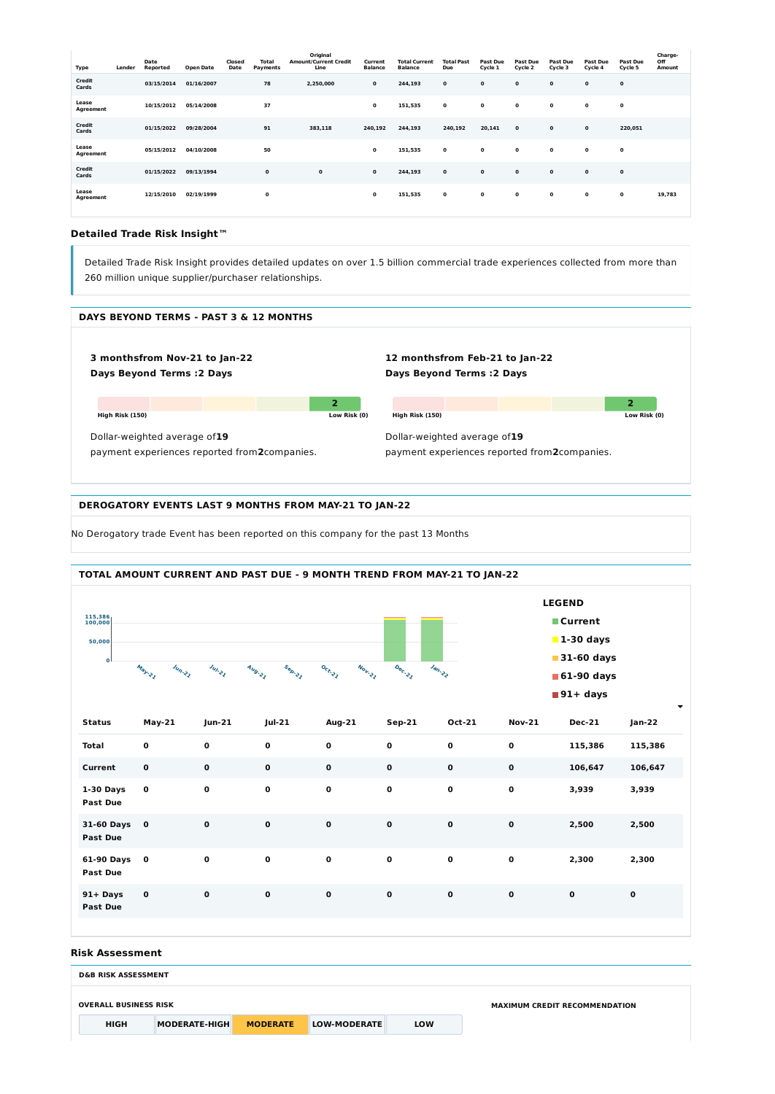| Type                   | Lender | Date<br>Reported | <b>Open Date</b> | Closed<br>Date | <b>Total</b><br>Payments | Original<br><b>Amount/Current Credit</b><br>Line | Current<br><b>Balance</b> | <b>Total Current</b><br><b>Balance</b> | <b>Total Past</b><br>Due | Past Due<br>Cycle 1 | Past Due<br>Cycle 2 | Past Due<br>Cycle 3 | Past Due<br>Cycle 4 | <b>Past Due</b><br>Cycle 5 | Charge-<br>Off<br>Amount |
|------------------------|--------|------------------|------------------|----------------|--------------------------|--------------------------------------------------|---------------------------|----------------------------------------|--------------------------|---------------------|---------------------|---------------------|---------------------|----------------------------|--------------------------|
| Credit<br>Cards        |        | 03/15/2014       | 01/16/2007       |                | 78                       | 2,250,000                                        | 0                         | 244,193                                | $\mathbf 0$              | 0                   | $\mathbf{o}$        | $\mathbf 0$         | $\mathbf 0$         | $\mathbf 0$                |                          |
| Lease<br>Agreement     |        | 10/15/2012       | 05/14/2008       |                | 37                       |                                                  | 0                         | 151,535                                | 0                        | $\mathbf 0$         | $\mathbf{o}$        | $\mathbf 0$         | $\mathbf 0$         | $\mathbf 0$                |                          |
| <b>Credit</b><br>Cards |        | 01/15/2022       | 09/28/2004       |                | 91                       | 383,118                                          | 240,192                   | 244,193                                | 240,192                  | 20,141              | $\mathbf{o}$        | $\mathbf{o}$        | $\mathbf 0$         | 220,051                    |                          |
| Lease<br>Agreement     |        | 05/15/2012       | 04/10/2008       |                | 50                       |                                                  | 0                         | 151,535                                | $\mathbf{o}$             | 0                   | $\mathbf 0$         | $\mathbf 0$         | $\mathbf{o}$        | $\mathbf 0$                |                          |
| Credit<br>Cards        |        | 01/15/2022       | 09/13/1994       |                | $\mathbf 0$              | 0                                                | 0                         | 244,193                                | 0                        | $\mathbf 0$         | $\mathbf 0$         | $\mathbf 0$         | $\mathbf{o}$        | $\mathbf 0$                |                          |
| Lease<br>Agreement     |        | 12/15/2010       | 02/19/1999       |                | 0                        |                                                  | 0                         | 151,535                                | $\mathbf{o}$             | $\mathbf 0$         | $\mathbf 0$         | $\mathbf{o}$        | $\mathbf{o}$        | $\mathbf{o}$               | 19,783                   |

### **Detailed Trade Risk Insight™**

Detailed Trade Risk Insight provides detailed updates on over 1.5 billion commercial trade experiences collected from more than 260 million unique supplier/purchaser relationships.



No Derogatory trade Event has been reported on this company for the past 13 Months

#### **Risk Assessment**



### **DEROGATORY EVENTS LAST 9 MONTHS FROM MAY-21 TO JAN-22**

| JI-UV DAYS V<br><b>Past Due</b> |              | v           | v            | v            | v           | v            | ັ           | $\sim$ , juu | 2,JVV       |
|---------------------------------|--------------|-------------|--------------|--------------|-------------|--------------|-------------|--------------|-------------|
| 61-90 Days 0<br><b>Past Due</b> |              | 0           | $\mathbf{o}$ | $\mathbf{o}$ | $\mathbf 0$ | $\mathbf{o}$ | $\mathbf 0$ | 2,300        | 2,300       |
| 91+ Days<br><b>Past Due</b>     | $\mathbf{0}$ | $\mathbf 0$ | $\mathbf 0$  | $\mathbf 0$  | $\mathbf 0$ | $\mathbf{o}$ | $\mathbf 0$ | $\mathbf 0$  | $\mathbf 0$ |

| <b>D&amp;B RISK ASSESSMENT</b> |                      |                 |              |            |                                      |  |  |  |  |
|--------------------------------|----------------------|-----------------|--------------|------------|--------------------------------------|--|--|--|--|
| <b>OVERALL BUSINESS RISK</b>   |                      |                 |              |            | <b>MAXIMUM CREDIT RECOMMENDATION</b> |  |  |  |  |
| <b>HIGH</b>                    | <b>MODERATE-HIGH</b> | <b>MODERATE</b> | LOW-MODERATE | <b>LOW</b> |                                      |  |  |  |  |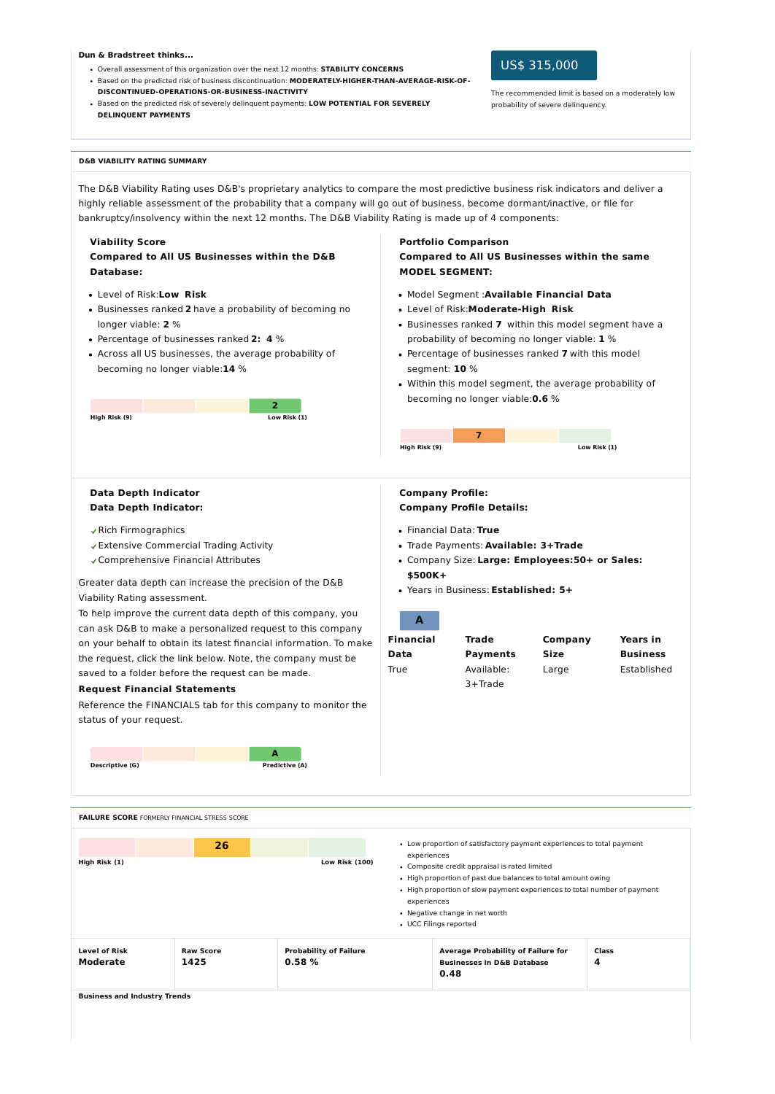The D&B Viability Rating uses D&B's proprietary analytics to compare the most predictive business risk indicators and deliver a highly reliable assessment of the probability that a company will go out of business, become dormant/inactive, or file for bankruptcy/insolvency within the next 12 months. The D&B Viability Rating is made up of 4 components:

#### **Dun & Bradstreet thinks...**

- Overall assessment of this organization over the next 12 months: **STABILITY CONCERNS**
- Based on the predicted risk of business discontinuation: **MODERATELY-HIGHER-THAN-AVERAGE-RISK-OF-DISCONTINUED-OPERATIONS-OR-BUSINESS-INACTIVITY**
- Based on the predicted risk of severely delinquent payments: **LOW POTENTIAL FOR SEVERELY DELINQUENT PAYMENTS**

## US\$ 315,000

The recommended limit is based on a moderately low probability of severe delinquency.

#### **D&B VIABILITY RATING SUMMARY**

#### **Viability Score**

**Compared to All US Businesses within the D&B Database:**

- Level of Risk:**Low Risk**
- Businesses ranked **2** have a probability of becoming no longer viable: **2** %
- Percentage of businesses ranked **2: 4** %
- Across all US businesses, the average probability of becoming no longer viable:**14** %

| High Risk (9) |  | Low Risk (1) |  |
|---------------|--|--------------|--|

## **Portfolio Comparison Compared to All US Businesses within the same MODEL SEGMENT:**

- Model Segment :**Available Financial Data**
- Level of Risk:**Moderate-High Risk**
- Businesses ranked **7** within this model segment have a probability of becoming no longer viable: **1** %
- Percentage of businesses ranked **7** with this model segment: **10** %
- Within this model segment, the average probability of becoming no longer viable:**0.6** %

| High Risk (9) |  | Low Risk (1) |
|---------------|--|--------------|

#### **Data Depth Indicator Data Depth Indicator:**

#### Rich Firmographics

- Extensive Commercial Trading Activity
- Comprehensive Financial Attributes

| • High proportion of slow payment experiences to total number of payment<br>experiences |               |    |                       | • Negative change in net worth<br>• UCC Filings reported                                                      |                                                                       |  |  |  |  |  |
|-----------------------------------------------------------------------------------------|---------------|----|-----------------------|---------------------------------------------------------------------------------------------------------------|-----------------------------------------------------------------------|--|--|--|--|--|
|                                                                                         |               |    |                       |                                                                                                               |                                                                       |  |  |  |  |  |
|                                                                                         |               |    |                       | • Composite credit appraisal is rated limited<br>• High proportion of past due balances to total amount owing |                                                                       |  |  |  |  |  |
|                                                                                         | High Risk (1) | 26 | <b>Low Risk (100)</b> | experiences                                                                                                   | • Low proportion of satisfactory payment experiences to total payment |  |  |  |  |  |

Greater data depth can increase the precision of the D&B Viability Rating assessment.

To help improve the current data depth of this company, you can ask D&B to make a personalized request to this company on your behalf to obtain its latest financial information. To make the request, click the link below. Note, the company must be saved to a folder before the request can be made.

#### **Request Financial Statements**

Reference the FINANCIALS tab for this company to monitor the status of your request.

**A**

**Descriptive (G) Predictive (A)**

### **Company Profile: Company Profile Details:**

- Financial Data: **True**
- Trade Payments: **Available: 3+Trade**
- Company Size: **Large: Employees:50+ or Sales: \$500K+**
- Years in Business: **Established: 5+**

### **A**

| <b>Financial</b> | <b>Trade</b>    | Company     | <b>Years in</b> |
|------------------|-----------------|-------------|-----------------|
| Data             | <b>Payments</b> | <b>Size</b> | <b>Business</b> |
| True             | Available:      | Large       | Established     |
|                  | 3+Trade         |             |                 |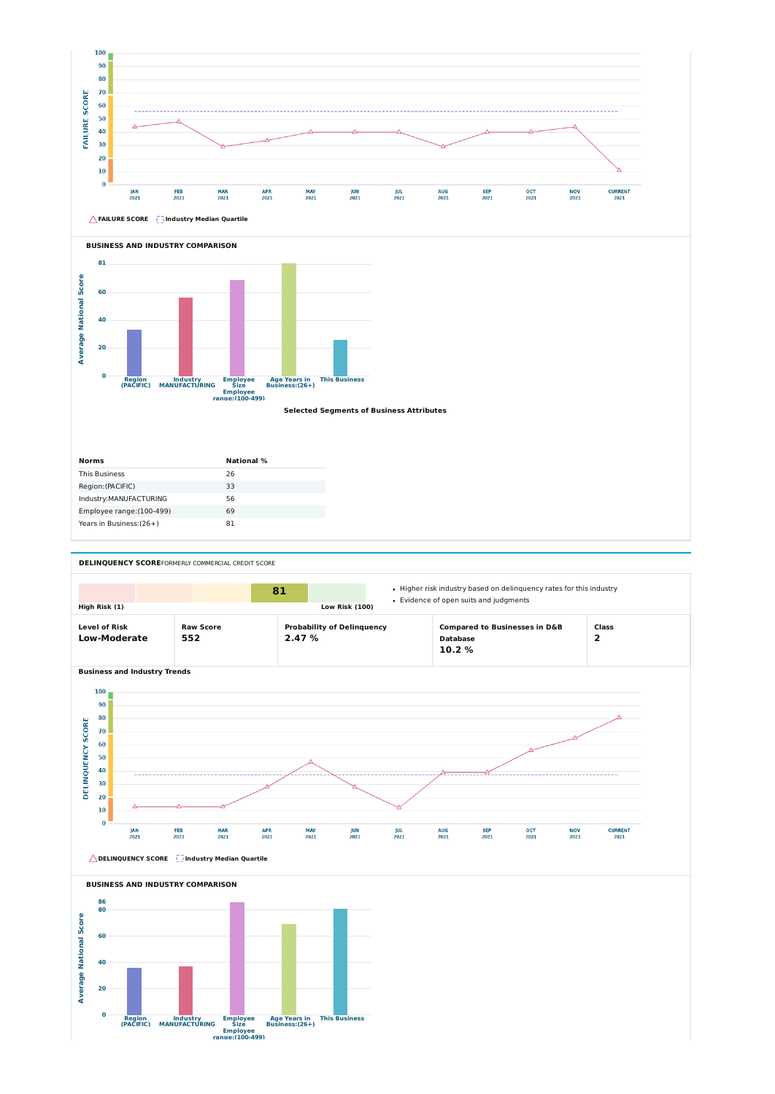



| <b>Norms</b>              | <b>National</b> % |
|---------------------------|-------------------|
| <b>This Business</b>      | 26                |
| Region: (PACIFIC)         | 33                |
| Industry: MANUFACTURING   | 56                |
| Employee range: (100-499) | 69                |
| Years in Business: (26+)  | 81                |

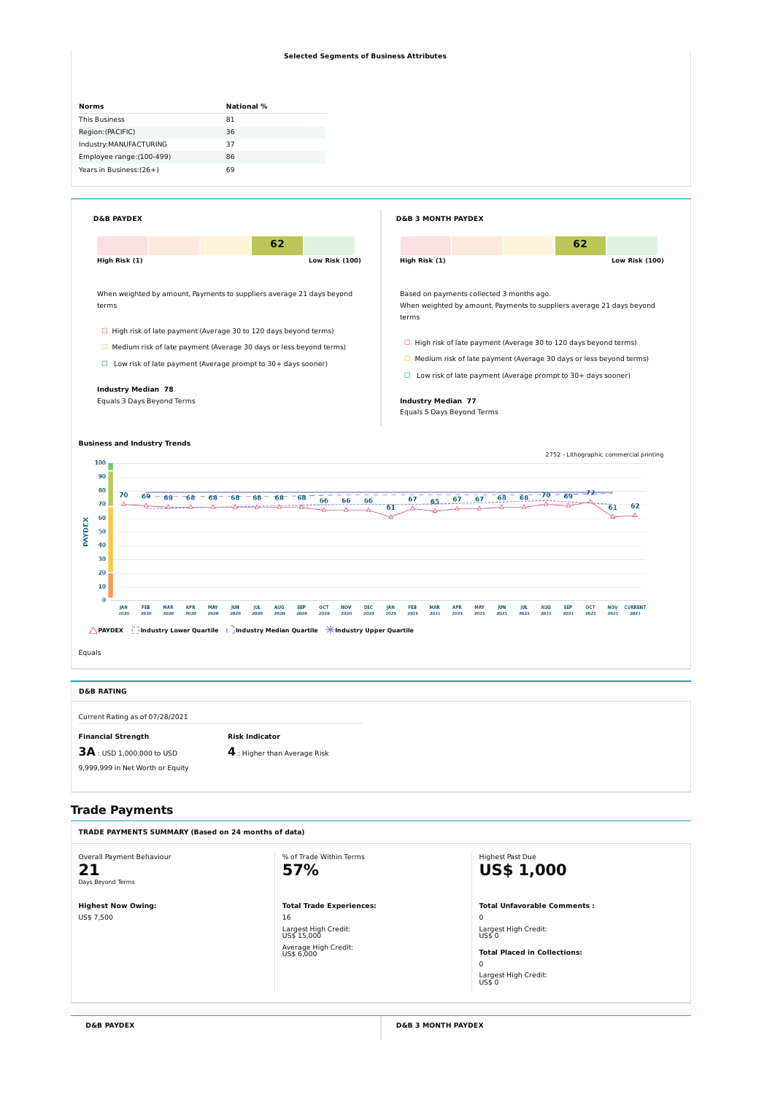

## **Trade Payments**

#### **Selected Segments of Business Attributes**

| <b>Norms</b>              | <b>National</b> % |
|---------------------------|-------------------|
| <b>This Business</b>      | 81                |
| Region: (PACIFIC)         | 36                |
| Industry: MANUFACTURING   | 37                |
| Employee range: (100-499) | 86                |
| Years in Business: (26+)  | 69                |

| <b>D&amp;B PAYDEX</b>                                                                                                                                                                                                      |                       | <b>D&amp;B 3 MONTH PAYDEX</b>                                                                                                                                                                                       |                       |  |  |  |  |
|----------------------------------------------------------------------------------------------------------------------------------------------------------------------------------------------------------------------------|-----------------------|---------------------------------------------------------------------------------------------------------------------------------------------------------------------------------------------------------------------|-----------------------|--|--|--|--|
|                                                                                                                                                                                                                            | 62                    |                                                                                                                                                                                                                     | 62                    |  |  |  |  |
| High Risk (1)                                                                                                                                                                                                              | <b>Low Risk (100)</b> | High Risk (1)                                                                                                                                                                                                       | <b>Low Risk (100)</b> |  |  |  |  |
| When weighted by amount, Payments to suppliers average 21 days beyond<br>terms                                                                                                                                             |                       | Based on payments collected 3 months ago.<br>When weighted by amount, Payments to suppliers average 21 days beyond<br>terms                                                                                         |                       |  |  |  |  |
| $\Box$ High risk of late payment (Average 30 to 120 days beyond terms)<br>$\Box$ Medium risk of late payment (Average 30 days or less beyond terms)<br>$\Box$ Low risk of late payment (Average prompt to 30+ days sooner) |                       | $\Box$ High risk of late payment (Average 30 to 120 days beyond terms)<br>$\Box$ Medium risk of late payment (Average 30 days or less beyond terms)<br>Low risk of late payment (Average prompt to 30+ days sooner) |                       |  |  |  |  |
| <b>Industry Median 78</b><br>Equals 3 Days Beyond Terms                                                                                                                                                                    |                       | <b>Industry Median 77</b><br>Equals 5 Days Beyond Terms                                                                                                                                                             |                       |  |  |  |  |

**Total Trade Experiences:** 16 Largest High Credit:<br>US\$ 15,000

Average High Credit:<br>US\$ 6,000

**D&B RATING** Current Rating as of 07/28/2021 **Financial Strength 3A** : USD 1,000,000 to USD 9,999,999 in Net Worth or Equity **Risk Indicator 4** : Higher than Average Risk

#### **TRADE PAYMENTS SUMMARY (Based on 24 months of data)**

Overall Payment Behaviour **21**

Days Beyond Terms

% of Trade Within Terms **57%**

Highest Past Due **US\$ 1,000**

**Highest Now Owing:**

US\$ 7,500

**Total Unfavorable Comments :**

0

Largest High Credit:<br>US\$ 0

**Total Placed in Collections:** 0

Largest High Credit: US\$ <sup>0</sup>

**D&B PAYDEX D&B 3 MONTH PAYDEX**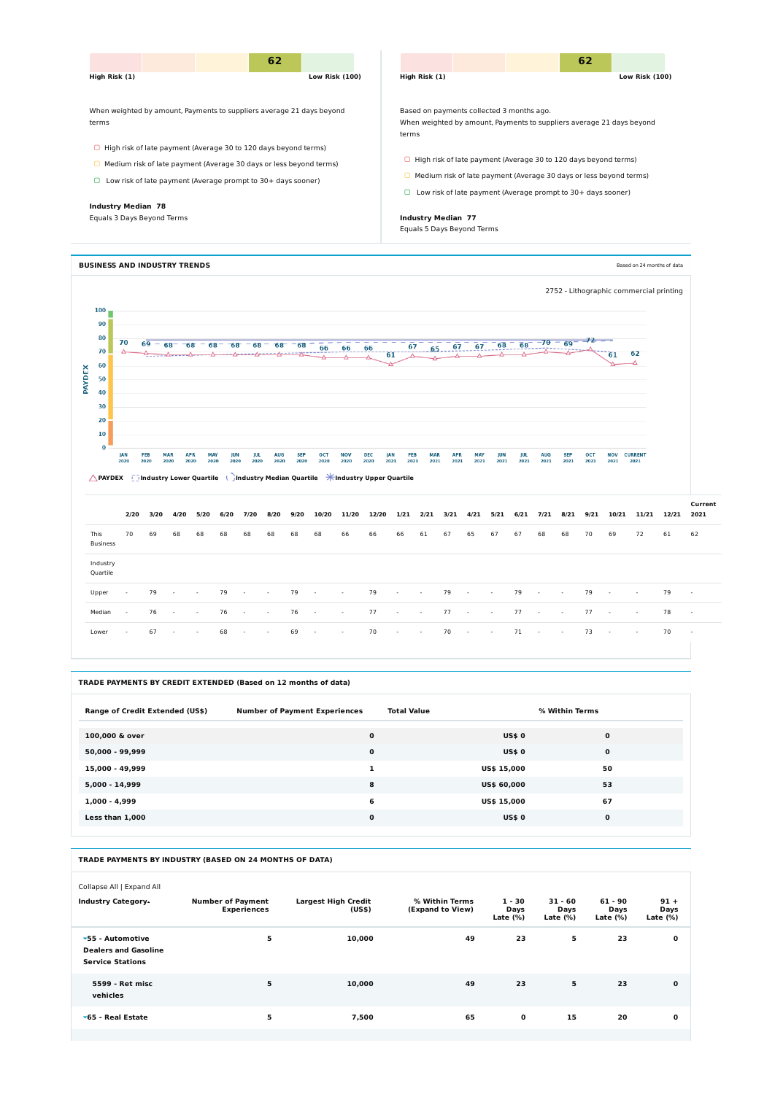

|                                                                                                                        | <b>JAN</b><br>2020       | <b>FEB</b><br>2020 | <b>MAR</b><br>2020 | <b>APR</b><br>2020 | <b>MAY</b><br>jun<br>2020<br>2020 | jul<br>2020              | <b>AUG</b><br>2020       | <b>SEP</b><br>2020 | <b>OCT</b><br>2020       | <b>NOV</b><br>2020       | <b>DEC</b><br>2020 | FEB<br>JAN<br>2021<br>2021 | <b>MAR</b><br>2021       | <b>APR</b><br>2021 | <b>MAY</b><br>2021 | JUN<br>2021 | <b>IUL</b><br>2021 | <b>AUG</b><br>2021 | <b>SEP</b><br>2021       | <b>OCT</b><br>2021 | <b>NOV</b><br>2021       | <b>CURRENT</b><br>2021   |       |                          |
|------------------------------------------------------------------------------------------------------------------------|--------------------------|--------------------|--------------------|--------------------|-----------------------------------|--------------------------|--------------------------|--------------------|--------------------------|--------------------------|--------------------|----------------------------|--------------------------|--------------------|--------------------|-------------|--------------------|--------------------|--------------------------|--------------------|--------------------------|--------------------------|-------|--------------------------|
| <b>APAYDEX</b> $\frac{1}{2}$ Industry Lower Quartile ( )Industry Median Quartile $\frac{1}{2}$ Industry Upper Quartile |                          |                    |                    |                    |                                   |                          |                          |                    |                          |                          |                    |                            |                          |                    |                    |             |                    |                    |                          |                    |                          |                          |       |                          |
|                                                                                                                        | 2/20                     | 3/20               | 4/20               | 5/20               | 6/20                              | 7/20                     | 8/20                     | 9/20               | 10/20                    | 11/20                    | 12/20              | 1/21                       | 2/21                     | 3/21               | 4/21               | 5/21        | 6/21               | 7/21               | 8/21                     | 9/21               | 10/21                    | 11/21                    | 12/21 | Current<br>2021          |
| This<br><b>Business</b>                                                                                                | 70                       | 69                 | 68                 | 68                 | 68                                | 68                       | 68                       | 68                 | 68                       | 66                       | 66                 | 66                         | 61                       | 67                 | 65                 | 67          | 67                 | 68                 | 68                       | 70                 | 69                       | 72                       | 61    | 62                       |
| Industry<br>Quartile                                                                                                   |                          |                    |                    |                    |                                   |                          |                          |                    |                          |                          |                    |                            |                          |                    |                    |             |                    |                    |                          |                    |                          |                          |       |                          |
| Upper                                                                                                                  | $\overline{\phantom{a}}$ | 79                 |                    |                    | 79                                |                          |                          | 79                 | $\overline{\phantom{a}}$ | $\overline{\phantom{a}}$ | 79                 | $\overline{\phantom{a}}$   |                          | 79                 |                    |             | 79                 | $\sim$             | $\overline{\phantom{a}}$ | 79                 | $\overline{\phantom{a}}$ |                          | 79    | $\overline{\phantom{a}}$ |
| Median                                                                                                                 | $\overline{\phantom{a}}$ | 76                 |                    |                    | 76                                |                          |                          | 76                 | $\overline{\phantom{a}}$ | $\overline{\phantom{a}}$ | 77                 | $\overline{\phantom{a}}$   |                          | 77                 |                    |             | 77                 | $\sim$             |                          | 77                 | $\overline{\phantom{a}}$ | $\overline{\phantom{a}}$ | 78    | $\overline{\phantom{a}}$ |
| Lower                                                                                                                  | $\overline{\phantom{a}}$ | 67                 |                    |                    | 68                                | $\overline{\phantom{a}}$ | $\overline{\phantom{a}}$ | 69                 | $\sim$                   | $\sim$                   | 70                 | $\sim$                     | $\overline{\phantom{a}}$ | 70                 | $\sim$             | $\sim$      | 71                 | $\sim$             | $\overline{\phantom{a}}$ | 73                 | $\sim$                   | $\overline{\phantom{a}}$ | 70    | $\sim$                   |

| TRADE PAYMENTS BY CREDIT EXTENDED (Based on 12 months of data) |                                      |                    |                |  |  |  |  |  |  |  |
|----------------------------------------------------------------|--------------------------------------|--------------------|----------------|--|--|--|--|--|--|--|
| <b>Range of Credit Extended (US\$)</b>                         | <b>Number of Payment Experiences</b> | <b>Total Value</b> | % Within Terms |  |  |  |  |  |  |  |
| 100,000 & over                                                 | $\mathbf 0$                          | <b>US\$0</b>       | $\mathbf 0$    |  |  |  |  |  |  |  |
| 50,000 - 99,999                                                | $\mathbf 0$                          | <b>US\$0</b>       | $\mathbf 0$    |  |  |  |  |  |  |  |
| 15,000 - 49,999                                                | 1                                    | <b>US\$ 15,000</b> | 50             |  |  |  |  |  |  |  |
| 5,000 - 14,999                                                 | 8                                    | <b>US\$ 60,000</b> | 53             |  |  |  |  |  |  |  |
| $1,000 - 4,999$                                                | 6                                    | <b>US\$ 15,000</b> | 67             |  |  |  |  |  |  |  |
| Less than 1,000                                                | $\mathbf 0$                          | <b>US\$0</b>       | 0              |  |  |  |  |  |  |  |

#### **TRADE PAYMENTS BY INDUSTRY (BASED ON 24 MONTHS OF DATA)**

Collapse All | Expand All

| <b>Industry Category.</b>                                                          | <b>Number of Payment</b><br><b>Experiences</b> | <b>Largest High Credit</b><br>(US\$) | % Within Terms<br>(Expand to View) | $1 - 30$<br>Days<br>Late $(\%)$ | $31 - 60$<br>Days<br>Late $(\%)$ | $61 - 90$<br>Days<br>Late $(\%)$ | $91 +$<br>Days<br>Late $(\%)$ |
|------------------------------------------------------------------------------------|------------------------------------------------|--------------------------------------|------------------------------------|---------------------------------|----------------------------------|----------------------------------|-------------------------------|
| $\sqrt{55}$ - Automotive<br><b>Dealers and Gasoline</b><br><b>Service Stations</b> | 5                                              | 10,000                               | 49                                 | 23                              | 5                                | 23                               | $\mathbf 0$                   |
| 5599 - Ret misc<br>vehicles                                                        | 5                                              | 10,000                               | 49                                 | 23                              | 5                                | 23                               | $\mathbf 0$                   |
| $\sqrt{65}$ - Real Estate                                                          | 5                                              | 7,500                                | 65                                 | $\mathbf 0$                     | 15                               | 20                               | $\mathbf 0$                   |
|                                                                                    |                                                |                                      |                                    |                                 |                                  |                                  |                               |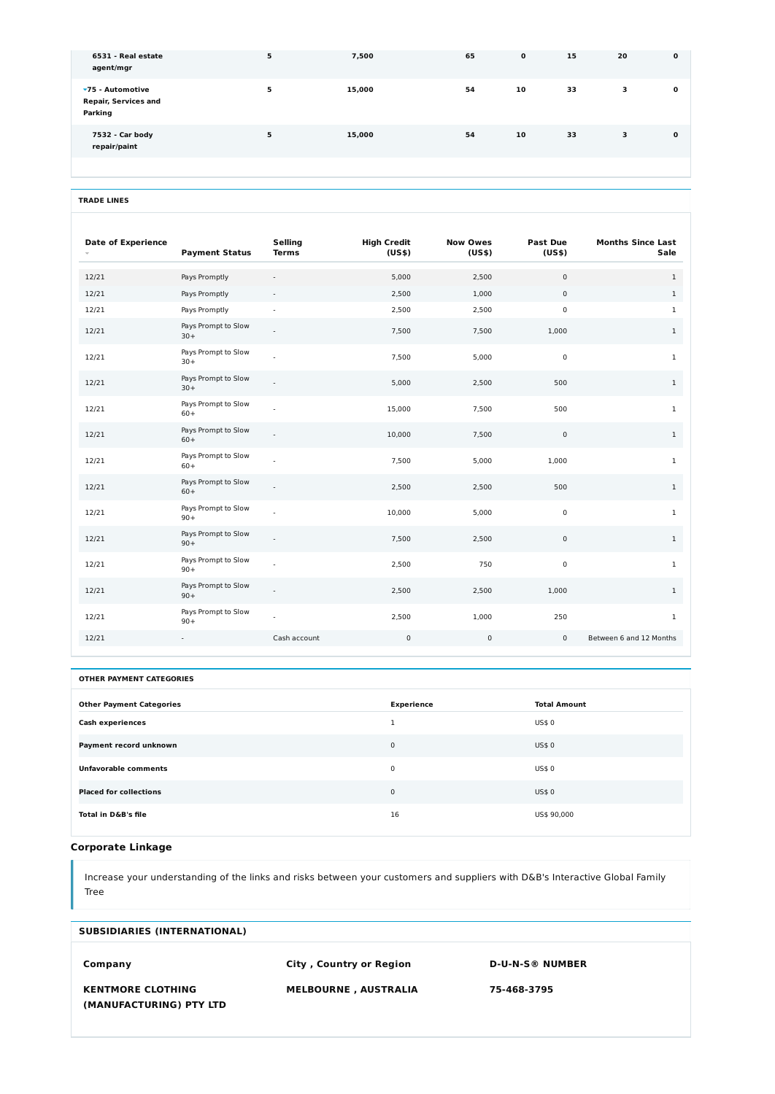| <b>Date of Experience</b> | <b>Payment Status</b>        | <b>Selling</b><br><b>Terms</b> | <b>High Credit</b><br>(US\$) | <b>Now Owes</b><br>(US\$) | <b>Past Due</b><br>(US\$) | <b>Months Since Last</b><br><b>Sale</b> |
|---------------------------|------------------------------|--------------------------------|------------------------------|---------------------------|---------------------------|-----------------------------------------|
| 12/21                     | Pays Promptly                |                                | 5,000                        | 2,500                     | $\mathbf 0$               | $\mathbf{1}$                            |
| 12/21                     | Pays Promptly                |                                | 2,500                        | 1,000                     | $\mathbf 0$               | $\mathbf{1}$                            |
| 12/21                     | Pays Promptly                | $\overline{\phantom{a}}$       | 2,500                        | 2,500                     | 0                         | $\mathbf{1}$                            |
| 12/21                     | Pays Prompt to Slow<br>$30+$ |                                | 7,500                        | 7,500                     | 1,000                     | $\mathbf{1}$                            |
| 12/21                     | Pays Prompt to Slow<br>$30+$ |                                | 7,500                        | 5,000                     | $\mathsf{O}$              | $\mathbf{1}$                            |
| 12/21                     | Pays Prompt to Slow<br>$30+$ |                                | 5,000                        | 2,500                     | 500                       | $1\,$                                   |
| 12/21                     | Pays Prompt to Slow<br>$60+$ |                                | 15,000                       | 7,500                     | 500                       | $1\,$                                   |
| 12/21                     | Pays Prompt to Slow<br>$60+$ |                                | 10,000                       | 7,500                     | $\mathbf 0$               | $1\,$                                   |
| 12/21                     | Pays Prompt to Slow<br>$60+$ |                                | 7,500                        | 5,000                     | 1,000                     | $1\,$                                   |
| 12/21                     | Pays Prompt to Slow<br>$60+$ |                                | 2,500                        | 2,500                     | 500                       | $\mathbf{1}$                            |
| 12/21                     | Pays Prompt to Slow<br>$90+$ |                                | 10,000                       | 5,000                     | $\mathsf{O}$              | $1\,$                                   |
| 12/21                     | Pays Prompt to Slow<br>$90+$ |                                | 7,500                        | 2,500                     | $\mathbf 0$               | $\mathbf{1}$                            |
| 12/21                     | Pays Prompt to Slow<br>$90+$ |                                | 2,500                        | 750                       | $\mathsf{O}$              | $\mathbf{1}$                            |
| 12/21                     | Pays Prompt to Slow<br>$90+$ |                                | 2,500                        | 2,500                     | 1,000                     | $\mathbf{1}$                            |
| 12/21                     | Pays Prompt to Slow<br>$90+$ |                                | 2,500                        | 1,000                     | 250                       | $\mathbf{1}$                            |
| 12/21                     |                              | Cash account                   | $\mathbf 0$                  | $\mathbf 0$               | $\mathbf 0$               | Between 6 and 12 Months                 |

| <b>Other Payment Categories</b> | <b>Experience</b> | <b>Total Amount</b> |
|---------------------------------|-------------------|---------------------|
| <b>Cash experiences</b>         | ×,                | <b>US\$0</b>        |
| Payment record unknown          | $\mathbf{0}$      | <b>US\$0</b>        |
| Unfavorable comments            | 0                 | <b>US\$0</b>        |
| <b>Placed for collections</b>   | $\mathbf{0}$      | <b>US\$0</b>        |
| Total in D&B's file             | 16                | US\$ 90,000         |

## **Corporate Linkage**

Increase your understanding of the links and risks between your customers and suppliers with D&B's Interactive Global Family Tree

| 6531 - Real estate<br>agent/mgr                                    | 5 | 7,500  | 65 | $\mathbf 0$ | 15 | 20 | $\mathbf 0$ |
|--------------------------------------------------------------------|---|--------|----|-------------|----|----|-------------|
| $\sqrt{75}$ - Automotive<br><b>Repair, Services and</b><br>Parking | 5 | 15,000 | 54 | 10          | 33 | 3  | $\mathbf 0$ |
| 7532 - Car body<br>repair/paint                                    | 5 | 15,000 | 54 | 10          | 33 | 3  | $\mathbf 0$ |
|                                                                    |   |        |    |             |    |    |             |

#### **TRADE LINES**

#### **OTHER PAYMENT CATEGORIES**

| <b>SUBSIDIARIES (INTERNATIONAL)</b>                            |                                                               |                                       |  |  |  |
|----------------------------------------------------------------|---------------------------------------------------------------|---------------------------------------|--|--|--|
| Company<br><b>KENTMORE CLOTHING</b><br>(MANUFACTURING) PTY LTD | <b>City, Country or Region</b><br><b>MELBOURNE, AUSTRALIA</b> | <b>D-U-N-S® NUMBER</b><br>75-468-3795 |  |  |  |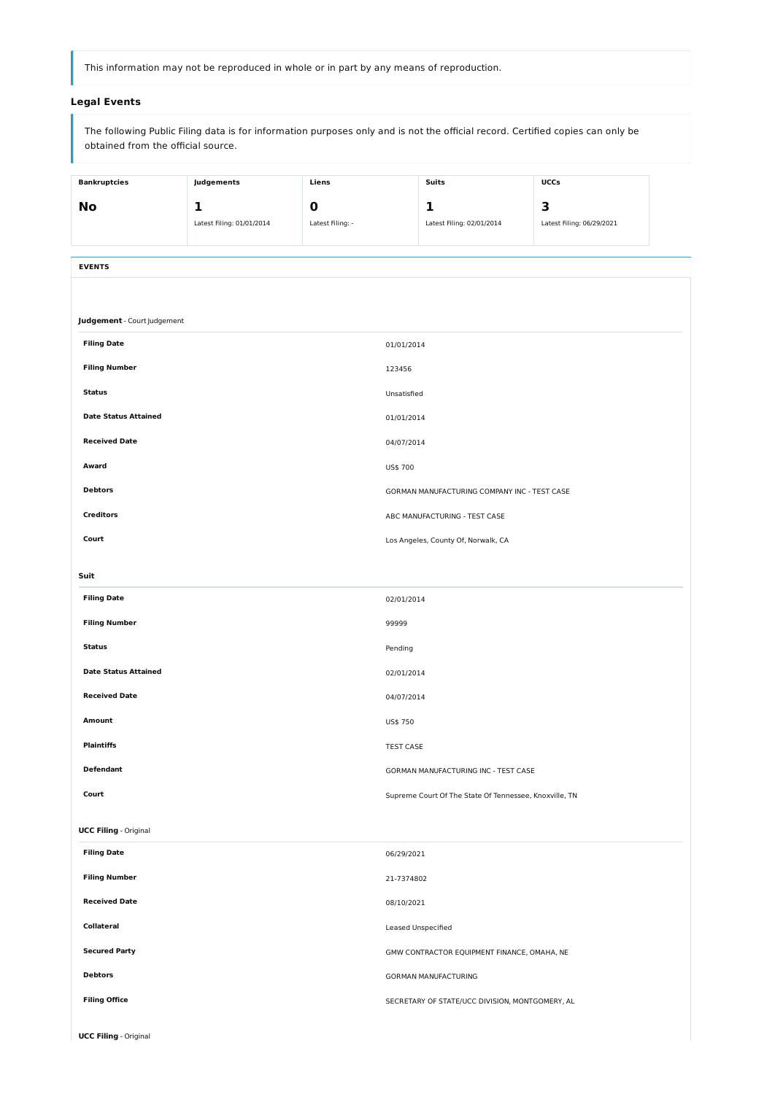This information may not be reproduced in whole or in part by any means of reproduction.

## **Legal Events**

The following Public Filing data is for information purposes only and is not the official record. Certified copies can only be obtained from the official source.

| <b>Bankruptcies</b>                | Judgements                | Liens            |                  | <b>Suits</b>                                           | UCCs                      |  |  |  |
|------------------------------------|---------------------------|------------------|------------------|--------------------------------------------------------|---------------------------|--|--|--|
| <b>No</b>                          | 1                         | $\boldsymbol{0}$ |                  | 1                                                      | 3                         |  |  |  |
|                                    | Latest Filing: 01/01/2014 | Latest Filing: - |                  | Latest Filing: 02/01/2014                              | Latest Filing: 06/29/2021 |  |  |  |
|                                    |                           |                  |                  |                                                        |                           |  |  |  |
| <b>EVENTS</b>                      |                           |                  |                  |                                                        |                           |  |  |  |
|                                    |                           |                  |                  |                                                        |                           |  |  |  |
| <b>Judgement</b> - Court Judgement |                           |                  |                  |                                                        |                           |  |  |  |
| <b>Filing Date</b>                 |                           |                  | 01/01/2014       |                                                        |                           |  |  |  |
| <b>Filing Number</b>               |                           |                  | 123456           |                                                        |                           |  |  |  |
| <b>Status</b>                      |                           |                  | Unsatisfied      |                                                        |                           |  |  |  |
| <b>Date Status Attained</b>        |                           |                  | 01/01/2014       |                                                        |                           |  |  |  |
| <b>Received Date</b>               |                           |                  | 04/07/2014       |                                                        |                           |  |  |  |
| Award                              |                           |                  | US\$ 700         |                                                        |                           |  |  |  |
| <b>Debtors</b>                     |                           |                  |                  | GORMAN MANUFACTURING COMPANY INC - TEST CASE           |                           |  |  |  |
| <b>Creditors</b>                   |                           |                  |                  | ABC MANUFACTURING - TEST CASE                          |                           |  |  |  |
| Court                              |                           |                  |                  | Los Angeles, County Of, Norwalk, CA                    |                           |  |  |  |
| Suit                               |                           |                  |                  |                                                        |                           |  |  |  |
| <b>Filing Date</b>                 |                           |                  | 02/01/2014       |                                                        |                           |  |  |  |
| <b>Filing Number</b>               |                           |                  | 99999            |                                                        |                           |  |  |  |
| <b>Status</b>                      |                           |                  | Pending          |                                                        |                           |  |  |  |
| <b>Date Status Attained</b>        |                           |                  | 02/01/2014       |                                                        |                           |  |  |  |
| <b>Received Date</b>               |                           |                  | 04/07/2014       |                                                        |                           |  |  |  |
| <b>Amount</b>                      |                           |                  | US\$ 750         |                                                        |                           |  |  |  |
| <b>Plaintiffs</b>                  |                           |                  | <b>TEST CASE</b> |                                                        |                           |  |  |  |
| <b>Defendant</b>                   |                           |                  |                  | GORMAN MANUFACTURING INC - TEST CASE                   |                           |  |  |  |
| Court                              |                           |                  |                  | Supreme Court Of The State Of Tennessee, Knoxville, TN |                           |  |  |  |

| <b>UCC Filing - Original</b> |                                                 |
|------------------------------|-------------------------------------------------|
| <b>Filing Date</b>           | 06/29/2021                                      |
| <b>Filing Number</b>         | 21-7374802                                      |
| <b>Received Date</b>         | 08/10/2021                                      |
| <b>Collateral</b>            | Leased Unspecified                              |
| <b>Secured Party</b>         | GMW CONTRACTOR EQUIPMENT FINANCE, OMAHA, NE     |
| <b>Debtors</b>               | <b>GORMAN MANUFACTURING</b>                     |
| <b>Filing Office</b>         | SECRETARY OF STATE/UCC DIVISION, MONTGOMERY, AL |
| <b>UCC Filing - Original</b> |                                                 |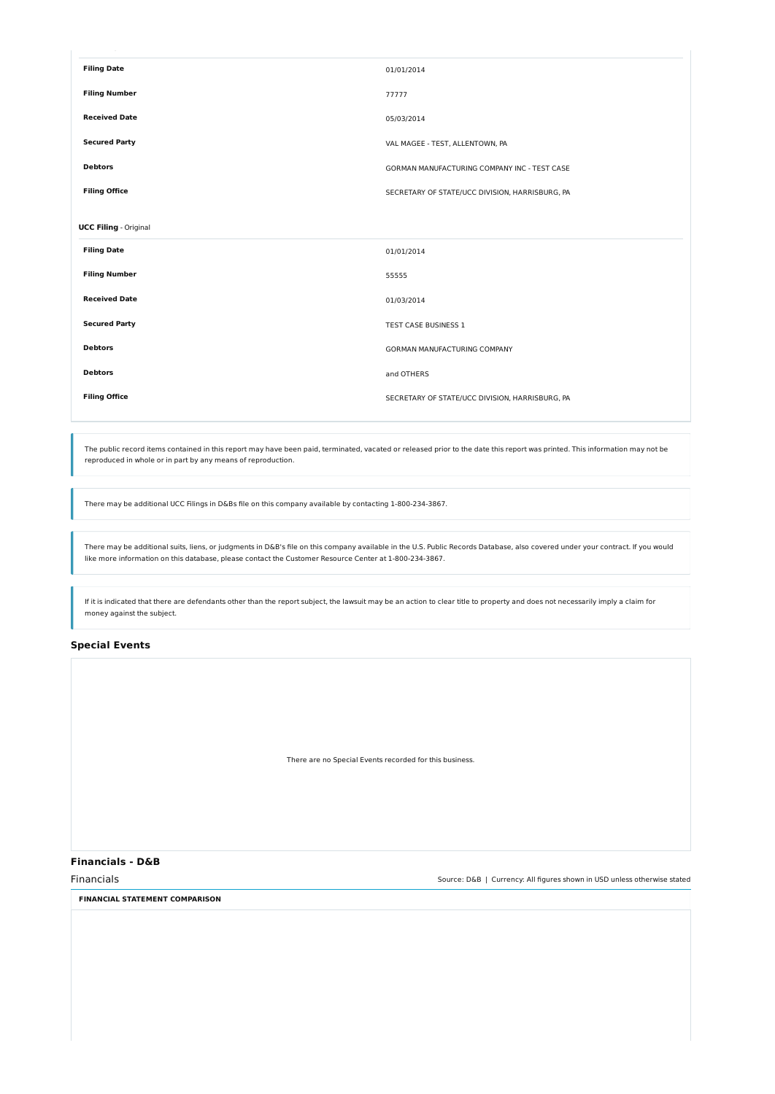| <b>Filing Date</b>           | 01/01/2014                                      |
|------------------------------|-------------------------------------------------|
| <b>Filing Number</b>         | 77777                                           |
| <b>Received Date</b>         | 05/03/2014                                      |
| <b>Secured Party</b>         | VAL MAGEE - TEST, ALLENTOWN, PA                 |
| <b>Debtors</b>               | GORMAN MANUFACTURING COMPANY INC - TEST CASE    |
| <b>Filing Office</b>         | SECRETARY OF STATE/UCC DIVISION, HARRISBURG, PA |
|                              |                                                 |
| <b>UCC Filing</b> - Original |                                                 |
| <b>Filing Date</b>           | 01/01/2014                                      |
| <b>Filing Number</b>         | 55555                                           |
| <b>Received Date</b>         | 01/03/2014                                      |
| <b>Secured Party</b>         | TEST CASE BUSINESS 1                            |
| <b>Debtors</b>               | GORMAN MANUFACTURING COMPANY                    |
| <b>Debtors</b>               | and OTHERS                                      |
| <b>Filing Office</b>         | SECRETARY OF STATE/UCC DIVISION, HARRISBURG, PA |
|                              |                                                 |

The public record items contained in this report may have been paid, terminated, vacated or released prior to the date this report was printed. This information may not be reproduced in whole or in part by any means of reproduction.

If it is indicated that there are defendants other than the report subject, the lawsuit may be an action to clear title to property and does not necessarily imply a claim for money against the subject.

There may be additional UCC Filings in D&Bs file on this company available by contacting 1-800-234-3867.

There may be additional suits, liens, or judgments in D&B's file on this company available in the U.S. Public Records Database, also covered under your contract. If you would like more information on this database, please contact the Customer Resource Center at 1-800-234-3867.

### **Special Events**

There are no Special Events recorded for this business.

### **Financials - D&B**

Financials Source: D&B | Currency: All figures shown in USD unless otherwise stated

**FINANCIAL STATEMENT COMPARISON**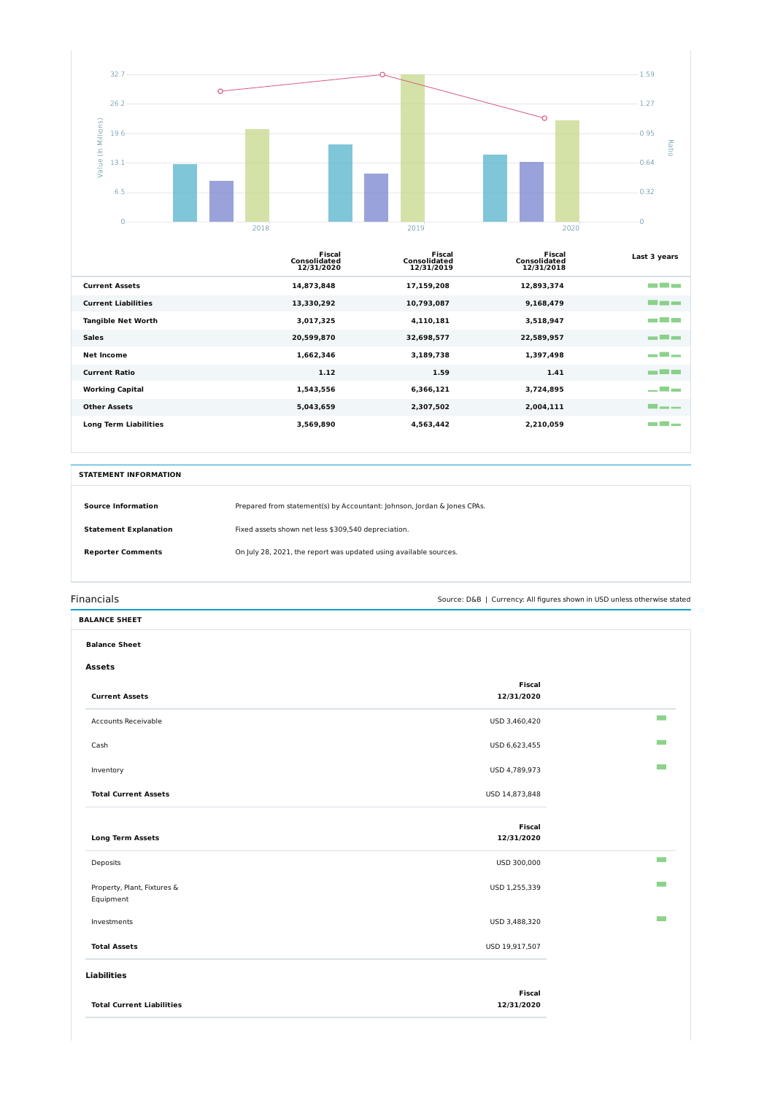

|                              | Fiscal<br><b>Consolidated</b><br>12/31/2020 | Fiscal<br><b>Consolidated</b><br>12/31/2019 | Fiscal<br><b>Consolidated</b><br>12/31/2018 | Last 3 years        |
|------------------------------|---------------------------------------------|---------------------------------------------|---------------------------------------------|---------------------|
| <b>Current Assets</b>        | 14,873,848                                  | 17,159,208                                  | 12,893,374                                  | an bahasa           |
| <b>Current Liabilities</b>   | 13,330,292                                  | 10,793,087                                  | 9,168,479                                   | <u> De la Barca</u> |
| <b>Tangible Net Worth</b>    | 3,017,325                                   | 4,110,181                                   | 3,518,947                                   | a da baixa          |
| <b>Sales</b>                 | 20,599,870                                  | 32,698,577                                  | 22,589,957                                  | m El m              |
| <b>Net Income</b>            | 1,662,346                                   | 3,189,738                                   | 1,397,498                                   | ده است              |
| <b>Current Ratio</b>         | 1.12                                        | 1.59                                        | 1.41                                        | m Ein               |
| <b>Working Capital</b>       | 1,543,556                                   | 6,366,121                                   | 3,724,895                                   | است است با بر       |
| <b>Other Assets</b>          | 5,043,659                                   | 2,307,502                                   | 2,004,111                                   | <b>The Company</b>  |
| <b>Long Term Liabilities</b> | 3,569,890                                   | 4,563,442                                   | 2,210,059                                   | a a shekara         |

| <b>Balance Sheet</b>        |  |  |  |  |  |
|-----------------------------|--|--|--|--|--|
|                             |  |  |  |  |  |
| <b>Fiscal</b><br>12/31/2020 |  |  |  |  |  |
| USD 3,460,420               |  |  |  |  |  |
| USD 6,623,455               |  |  |  |  |  |
| USD 4,789,973               |  |  |  |  |  |
| USD 14,873,848              |  |  |  |  |  |
|                             |  |  |  |  |  |

| <b>Source Information</b>    | Prepared from statement(s) by Accountant: Johnson, Jordan & Jones CPAs. |
|------------------------------|-------------------------------------------------------------------------|
| <b>Statement Explanation</b> | Fixed assets shown net less \$309,540 depreciation.                     |
| <b>Reporter Comments</b>     | On July 28, 2021, the report was updated using available sources.       |

Financials Source: D&B | Currency: All figures shown in USD unless otherwise stated

| <b>Long Term Assets</b>                  | <b>Fiscal</b><br>12/31/2020 |  |
|------------------------------------------|-----------------------------|--|
| Deposits                                 | USD 300,000                 |  |
| Property, Plant, Fixtures &<br>Equipment | USD 1,255,339               |  |
| Investments                              | USD 3,488,320               |  |
| <b>Total Assets</b>                      | USD 19,917,507              |  |
| <b>Liabilities</b>                       |                             |  |
| <b>Total Current Liabilities</b>         | <b>Fiscal</b><br>12/31/2020 |  |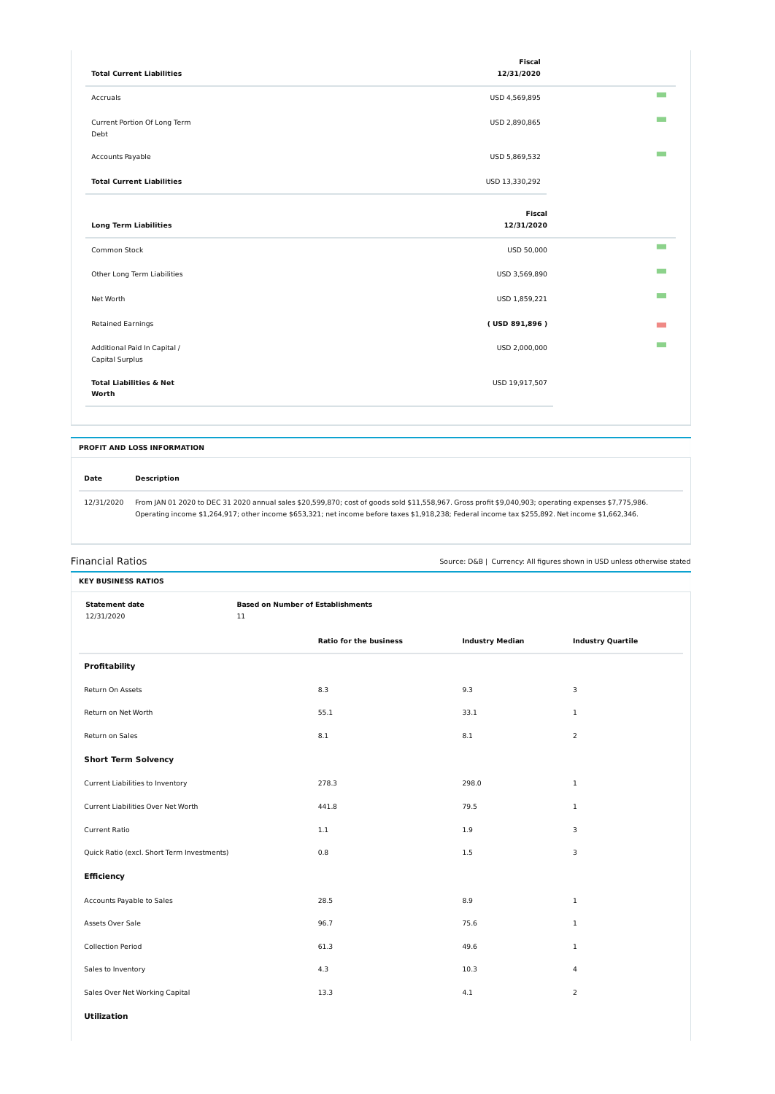| <b>KEY BUSINESS RATIOS</b>                                                         |                                                    |                               |                        |                          |  |  |
|------------------------------------------------------------------------------------|----------------------------------------------------|-------------------------------|------------------------|--------------------------|--|--|
| <b>Statement date</b><br>12/31/2020                                                | <b>Based on Number of Establishments</b><br>$11\,$ |                               |                        |                          |  |  |
| <b>Profitability</b><br>Return On Assets<br>Return on Net Worth<br>Return on Sales |                                                    | <b>Ratio for the business</b> | <b>Industry Median</b> | <b>Industry Quartile</b> |  |  |
|                                                                                    |                                                    |                               |                        |                          |  |  |
|                                                                                    |                                                    | 8.3                           | 9.3                    | 3                        |  |  |
|                                                                                    |                                                    | 55.1                          | 33.1                   | $\mathbf{1}$             |  |  |
|                                                                                    |                                                    | $\boldsymbol{8.1}$            | $8.1\,$                | $\overline{2}$           |  |  |
| <b>Short Term Solvency</b>                                                         |                                                    |                               |                        |                          |  |  |
| Current Liabilities to Inventory                                                   |                                                    | 278.3                         | 298.0                  | $\mathbf{1}$             |  |  |
| Current Liabilities Over Net Worth                                                 |                                                    | 441.8                         | 79.5                   | $\mathbf{1}$             |  |  |
| <b>Current Ratio</b>                                                               |                                                    | $1.1\,$                       | $1.9\,$                | 3                        |  |  |
| Quick Ratio (excl. Short Term Investments)                                         |                                                    | 0.8                           | $1.5\,$                | 3                        |  |  |
| <b>Efficiency</b>                                                                  |                                                    |                               |                        |                          |  |  |
| Accounts Payable to Sales                                                          |                                                    | 28.5                          | 8.9                    | $\mathbf 1$              |  |  |
| Assets Over Sale                                                                   |                                                    | 96.7                          | 75.6                   | $\mathbf{1}$             |  |  |
| <b>Collection Period</b>                                                           |                                                    | 61.3                          | 49.6                   | $\mathbf{1}$             |  |  |
| Sales to Inventory                                                                 |                                                    | 4.3                           | 10.3                   | 4                        |  |  |
| Sales Over Net Working Capital                                                     |                                                    | 13.3                          | 4.1                    | $\overline{2}$           |  |  |
| <b>Utilization</b>                                                                 |                                                    |                               |                        |                          |  |  |

| <b>Total Current Liabilities</b>                | <b>Fiscal</b><br>12/31/2020 |                 |
|-------------------------------------------------|-----------------------------|-----------------|
| Accruals                                        | USD 4,569,895               |                 |
| Current Portion Of Long Term<br>Debt            | USD 2,890,865               |                 |
| Accounts Payable                                | USD 5,869,532               | <b>The Co</b>   |
| <b>Total Current Liabilities</b>                | USD 13,330,292              |                 |
| <b>Long Term Liabilities</b>                    | <b>Fiscal</b><br>12/31/2020 |                 |
| Common Stock                                    | USD 50,000                  | $\mathbb{R}^n$  |
| Other Long Term Liabilities                     | USD 3,569,890               | <b>Contract</b> |
| Net Worth                                       | USD 1,859,221               | <b>Tara</b>     |
| <b>Retained Earnings</b>                        | (USD 891,896)               | <b>Contract</b> |
| Additional Paid In Capital /<br>Capital Surplus | USD 2,000,000               | <b>I</b> and    |
| <b>Total Liabilities &amp; Net</b><br>Worth     | USD 19,917,507              |                 |

| <b>PROFIT AND LOSS INFORMATION</b> |                                                                                                                                                                                                                                                                                                           |  |  |  |  |
|------------------------------------|-----------------------------------------------------------------------------------------------------------------------------------------------------------------------------------------------------------------------------------------------------------------------------------------------------------|--|--|--|--|
| Date                               | <b>Description</b>                                                                                                                                                                                                                                                                                        |  |  |  |  |
| 12/31/2020                         | From JAN 01 2020 to DEC 31 2020 annual sales \$20,599,870; cost of goods sold \$11,558,967. Gross profit \$9,040,903; operating expenses \$7,775,986.<br>Operating income \$1,264,917; other income \$653,321; net income before taxes \$1,918,238; Federal income tax \$255,892. Net income \$1,662,346. |  |  |  |  |

Financial Ratios Source: D&B | Currency: All figures shown in USD unless otherwise stated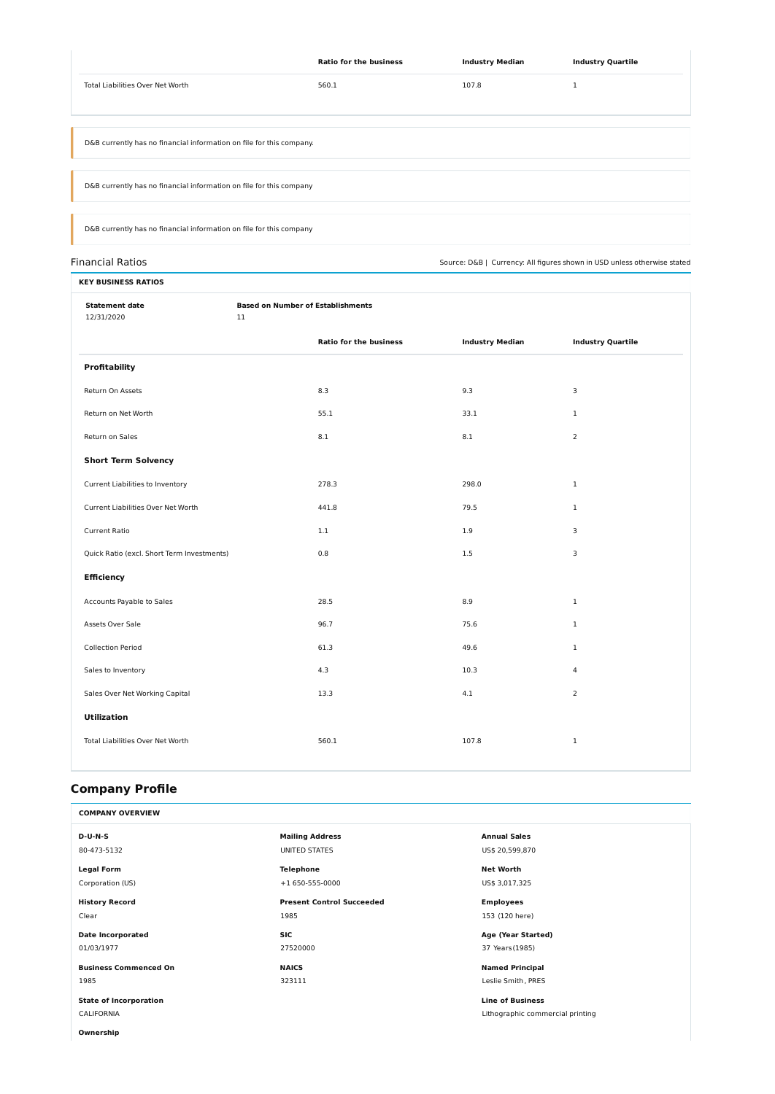|                                                                      | <b>Ratio for the business</b> | <b>Industry Median</b> | <b>Industry Quartile</b> |  |
|----------------------------------------------------------------------|-------------------------------|------------------------|--------------------------|--|
| <b>Total Liabilities Over Net Worth</b>                              | 560.1                         | 107.8                  |                          |  |
|                                                                      |                               |                        |                          |  |
|                                                                      |                               |                        |                          |  |
| D&B currently has no financial information on file for this company. |                               |                        |                          |  |
|                                                                      |                               |                        |                          |  |
| D&B currently has no financial information on file for this company  |                               |                        |                          |  |
|                                                                      |                               |                        |                          |  |
| D&B currently has no financial information on file for this company  |                               |                        |                          |  |

Financial Ratios Source: D&B | Currency: All figures shown in USD unless otherwise stated

| <b>KEY BUSINESS RATIOS</b>                 |    |                                          |                        |                          |  |  |  |
|--------------------------------------------|----|------------------------------------------|------------------------|--------------------------|--|--|--|
| <b>Statement date</b><br>12/31/2020        | 11 | <b>Based on Number of Establishments</b> |                        |                          |  |  |  |
|                                            |    | <b>Ratio for the business</b>            | <b>Industry Median</b> | <b>Industry Quartile</b> |  |  |  |
| <b>Profitability</b>                       |    |                                          |                        |                          |  |  |  |
| Return On Assets                           |    | 8.3                                      | 9.3                    | 3                        |  |  |  |
| Return on Net Worth                        |    | 55.1                                     | 33.1                   | $\mathbf{1}$             |  |  |  |
| Return on Sales                            |    | 8.1                                      | 8.1                    | $\overline{2}$           |  |  |  |
| <b>Short Term Solvency</b>                 |    |                                          |                        |                          |  |  |  |
| Current Liabilities to Inventory           |    | 278.3                                    | 298.0                  | $\mathbf{1}$             |  |  |  |
| Current Liabilities Over Net Worth         |    | 441.8                                    | 79.5                   | $\mathbf{1}$             |  |  |  |
| <b>Current Ratio</b>                       |    | 1.1                                      | 1.9                    | 3                        |  |  |  |
| Quick Ratio (excl. Short Term Investments) |    | $0.8\,$                                  | 1.5                    | 3                        |  |  |  |
| <b>Efficiency</b>                          |    |                                          |                        |                          |  |  |  |
| Accounts Payable to Sales                  |    | 28.5                                     | 8.9                    | $\mathbf{1}$             |  |  |  |
| Assets Over Sale                           |    | 96.7                                     | 75.6                   | $\mathbf{1}$             |  |  |  |
| <b>Collection Period</b>                   |    | 61.3                                     | 49.6                   | $\mathbf{1}$             |  |  |  |
| Sales to Inventory                         |    | 4.3                                      | 10.3                   | 4                        |  |  |  |
| Sales Over Net Working Capital             |    | 13.3                                     | 4.1                    | $\overline{2}$           |  |  |  |
| <b>Utilization</b>                         |    |                                          |                        |                          |  |  |  |
| Total Liabilities Over Net Worth           |    | 560.1                                    | 107.8                  | $\mathbf 1$              |  |  |  |
|                                            |    |                                          |                        |                          |  |  |  |

# **Company Profile**

| COMPAN.<br>. . |  |  |
|----------------|--|--|
|                |  |  |

| $D-U-N-S$                     | <b>Mailing Address</b>           | <b>Annual Sales</b>              |
|-------------------------------|----------------------------------|----------------------------------|
| 80-473-5132                   | UNITED STATES                    | US\$ 20,599,870                  |
| <b>Legal Form</b>             | <b>Telephone</b>                 | <b>Net Worth</b>                 |
| Corporation (US)              | +1 650-555-0000                  | US\$ 3,017,325                   |
| <b>History Record</b>         | <b>Present Control Succeeded</b> | <b>Employees</b>                 |
| Clear                         | 1985                             | 153 (120 here)                   |
| <b>Date Incorporated</b>      | <b>SIC</b>                       | Age (Year Started)               |
| 01/03/1977                    | 27520000                         | 37 Years (1985)                  |
| <b>Business Commenced On</b>  | <b>NAICS</b>                     | <b>Named Principal</b>           |
| 1985                          | 323111                           | Leslie Smith, PRES               |
| <b>State of Incorporation</b> |                                  | <b>Line of Business</b>          |
| <b>CALIFORNIA</b>             |                                  | Lithographic commercial printing |
| Ownership                     |                                  |                                  |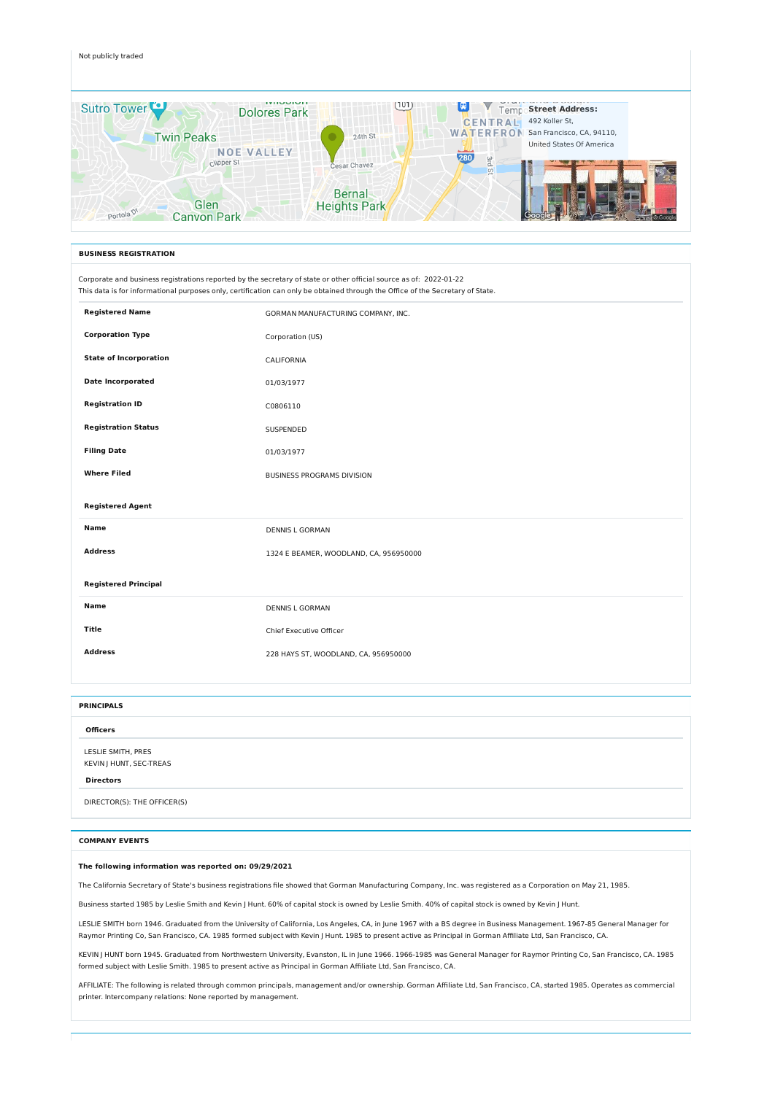#### Not publicly traded



Corporate and business registrations reported by the secretary of state or other official source as of: 2022-01-22 This data is for informational purposes only, certification can only be obtained through the Office of the Secretary of State.

| <b>Registered Name</b>        | GORMAN MANUFACTURING COMPANY, INC.     |
|-------------------------------|----------------------------------------|
| <b>Corporation Type</b>       | Corporation (US)                       |
| <b>State of Incorporation</b> | CALIFORNIA                             |
| <b>Date Incorporated</b>      | 01/03/1977                             |
| <b>Registration ID</b>        | C0806110                               |
| <b>Registration Status</b>    | SUSPENDED                              |
| <b>Filing Date</b>            | 01/03/1977                             |
| <b>Where Filed</b>            | BUSINESS PROGRAMS DIVISION             |
|                               |                                        |
| <b>Registered Agent</b>       |                                        |
| <b>Name</b>                   | <b>DENNIS L GORMAN</b>                 |
| <b>Address</b>                | 1324 E BEAMER, WOODLAND, CA, 956950000 |
| <b>Registered Principal</b>   |                                        |
| <b>Name</b>                   | <b>DENNIS L GORMAN</b>                 |
| <b>Title</b>                  | Chief Executive Officer                |
| <b>Address</b>                | 228 HAYS ST, WOODLAND, CA, 956950000   |

#### **BUSINESS REGISTRATION**

| <b>PRINCIPALS</b>                             |  |  |  |  |  |  |
|-----------------------------------------------|--|--|--|--|--|--|
| <b>Officers</b>                               |  |  |  |  |  |  |
| LESLIE SMITH, PRES<br>KEVIN J HUNT, SEC-TREAS |  |  |  |  |  |  |
| <b>Directors</b>                              |  |  |  |  |  |  |
| DIRECTOR(S): THE OFFICER(S)                   |  |  |  |  |  |  |

#### **The following information was reported on: 09/29/2021**

The California Secretary of State's business registrations file showed that Gorman Manufacturing Company, Inc. was registered as a Corporation on May 21, 1985.

Business started 1985 by Leslie Smith and Kevin J Hunt. 60% of capital stock is owned by Leslie Smith. 40% of capital stock is owned by Kevin J Hunt.

LESLIE SMITH born 1946. Graduated from the University of California, Los Angeles, CA, in June 1967 with a BS degree in Business Management. 1967-85 General Manager for Raymor Printing Co, San Francisco, CA. 1985 formed subject with Kevin J Hunt. 1985 to present active as Principal in Gorman Affiliate Ltd, San Francisco, CA.

KEVIN J HUNT born 1945. Graduated from Northwestern University, Evanston, IL in June 1966. 1966-1985 was General Manager for Raymor Printing Co, San Francisco, CA. 1985 formed subject with Leslie Smith. 1985 to present active as Principal in Gorman Affiliate Ltd, San Francisco, CA.

AFFILIATE: The following is related through common principals, management and/or ownership. Gorman Affiliate Ltd, San Francisco, CA, started 1985. Operates as commercial printer. Intercompany relations: None reported by management.

#### **COMPANY EVENTS**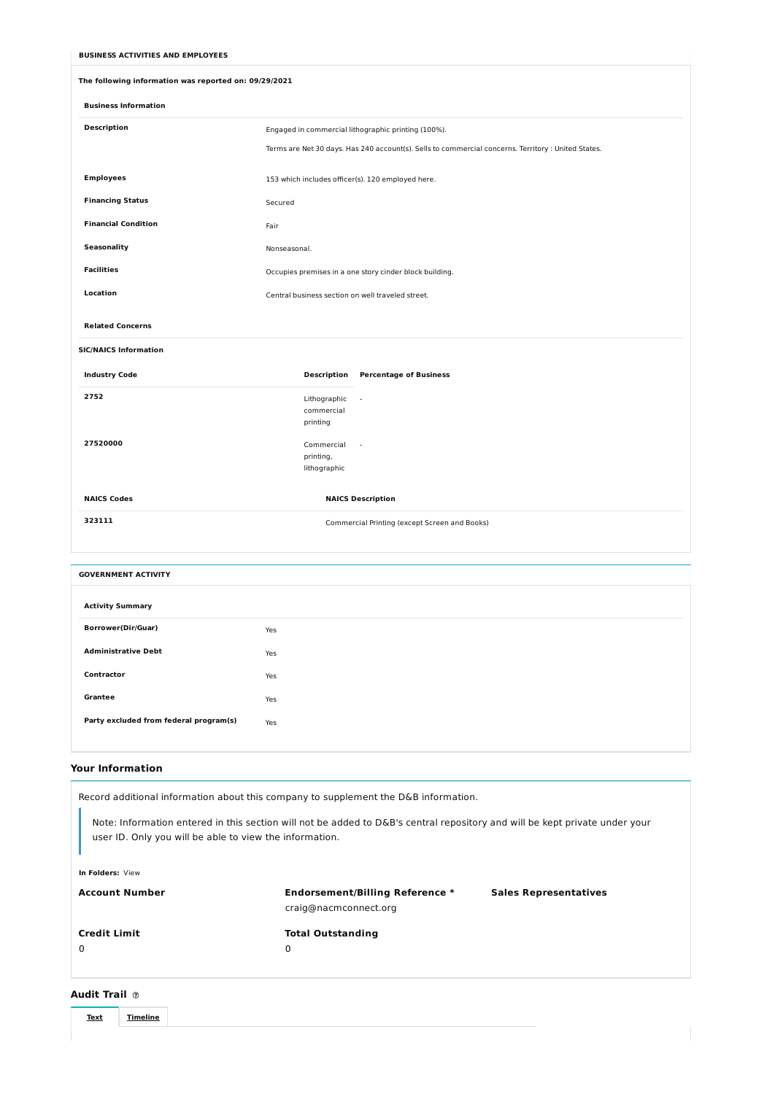#### **Your Information**

### **Audit Trail**



| The following information was reported on: 09/29/2021 |                                                                                                     |  |  |  |  |
|-------------------------------------------------------|-----------------------------------------------------------------------------------------------------|--|--|--|--|
| <b>Business Information</b>                           |                                                                                                     |  |  |  |  |
| <b>Description</b>                                    | Engaged in commercial lithographic printing (100%).                                                 |  |  |  |  |
|                                                       | Terms are Net 30 days. Has 240 account(s). Sells to commercial concerns. Territory : United States. |  |  |  |  |
| <b>Employees</b>                                      | 153 which includes officer(s). 120 employed here.                                                   |  |  |  |  |
| <b>Financing Status</b>                               | Secured                                                                                             |  |  |  |  |
| <b>Financial Condition</b>                            | Fair                                                                                                |  |  |  |  |
| <b>Seasonality</b>                                    | Nonseasonal.                                                                                        |  |  |  |  |
| <b>Facilities</b>                                     | Occupies premises in a one story cinder block building.                                             |  |  |  |  |
| Location                                              | Central business section on well traveled street.                                                   |  |  |  |  |
| <b>Related Concerns</b>                               |                                                                                                     |  |  |  |  |
| <b>SIC/NAICS Information</b>                          |                                                                                                     |  |  |  |  |
| <b>Industry Code</b>                                  | <b>Description</b><br><b>Percentage of Business</b>                                                 |  |  |  |  |
| 2752                                                  | Lithographic<br>$\sim$<br>commercial                                                                |  |  |  |  |
|                                                       | printing                                                                                            |  |  |  |  |
| 27520000                                              | Commercial<br>$\sim$                                                                                |  |  |  |  |
|                                                       | printing,<br>lithographic                                                                           |  |  |  |  |
| <b>NAICS Codes</b>                                    | <b>NAICS Description</b>                                                                            |  |  |  |  |
|                                                       |                                                                                                     |  |  |  |  |
| 323111                                                | Commercial Printing (except Screen and Books)                                                       |  |  |  |  |
|                                                       |                                                                                                     |  |  |  |  |
| <b>GOVERNMENT ACTIVITY</b>                            |                                                                                                     |  |  |  |  |
| <b>Activity Summary</b>                               |                                                                                                     |  |  |  |  |
| <b>Borrower(Dir/Guar)</b>                             | Yes                                                                                                 |  |  |  |  |
| <b>Administrative Debt</b>                            | Yes                                                                                                 |  |  |  |  |
| Contractor                                            | Yes                                                                                                 |  |  |  |  |
| <b>Grantee</b>                                        | Yes                                                                                                 |  |  |  |  |
| Party excluded from federal program(s)                | Yes                                                                                                 |  |  |  |  |
|                                                       |                                                                                                     |  |  |  |  |

| user ID. Only you will be able to view the information. |                                                                 |                              |  |  |  |  |  |
|---------------------------------------------------------|-----------------------------------------------------------------|------------------------------|--|--|--|--|--|
| In Folders: View                                        |                                                                 |                              |  |  |  |  |  |
| <b>Account Number</b>                                   | <b>Endorsement/Billing Reference *</b><br>craig@nacmconnect.org | <b>Sales Representatives</b> |  |  |  |  |  |
| <b>Credit Limit</b><br>0                                | <b>Total Outstanding</b><br>0                                   |                              |  |  |  |  |  |

#### **BUSINESS ACTIVITIES AND EMPLOYEES**

Record additional information about this company to supplement the D&B information.

Note: Information entered in this section will not be added to D&B's central repository and will be kept private under your